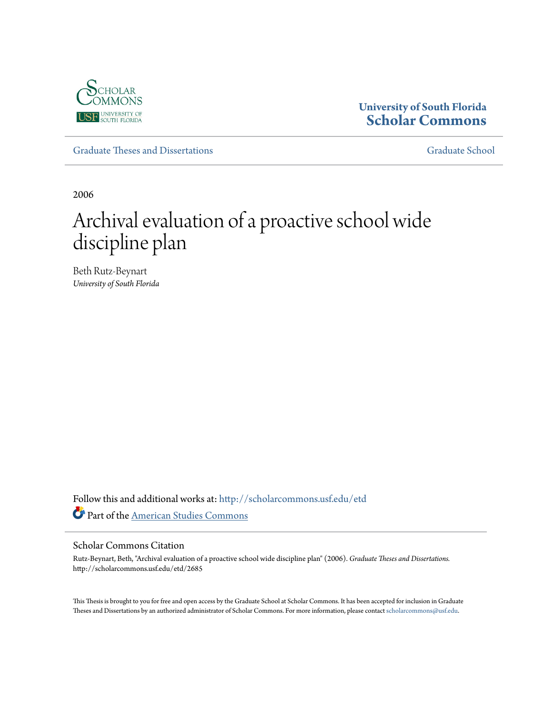

# **University of South Florida [Scholar Commons](http://scholarcommons.usf.edu?utm_source=scholarcommons.usf.edu%2Fetd%2F2685&utm_medium=PDF&utm_campaign=PDFCoverPages)**

[Graduate Theses and Dissertations](http://scholarcommons.usf.edu/etd?utm_source=scholarcommons.usf.edu%2Fetd%2F2685&utm_medium=PDF&utm_campaign=PDFCoverPages) [Graduate School](http://scholarcommons.usf.edu/grad?utm_source=scholarcommons.usf.edu%2Fetd%2F2685&utm_medium=PDF&utm_campaign=PDFCoverPages) Craduate School

2006

# Archival evaluation of a proactive school wide discipline plan

Beth Rutz-Beynart *University of South Florida*

Follow this and additional works at: [http://scholarcommons.usf.edu/etd](http://scholarcommons.usf.edu/etd?utm_source=scholarcommons.usf.edu%2Fetd%2F2685&utm_medium=PDF&utm_campaign=PDFCoverPages) Part of the [American Studies Commons](http://network.bepress.com/hgg/discipline/439?utm_source=scholarcommons.usf.edu%2Fetd%2F2685&utm_medium=PDF&utm_campaign=PDFCoverPages)

#### Scholar Commons Citation

Rutz-Beynart, Beth, "Archival evaluation of a proactive school wide discipline plan" (2006). *Graduate Theses and Dissertations.* http://scholarcommons.usf.edu/etd/2685

This Thesis is brought to you for free and open access by the Graduate School at Scholar Commons. It has been accepted for inclusion in Graduate Theses and Dissertations by an authorized administrator of Scholar Commons. For more information, please contact [scholarcommons@usf.edu.](mailto:scholarcommons@usf.edu)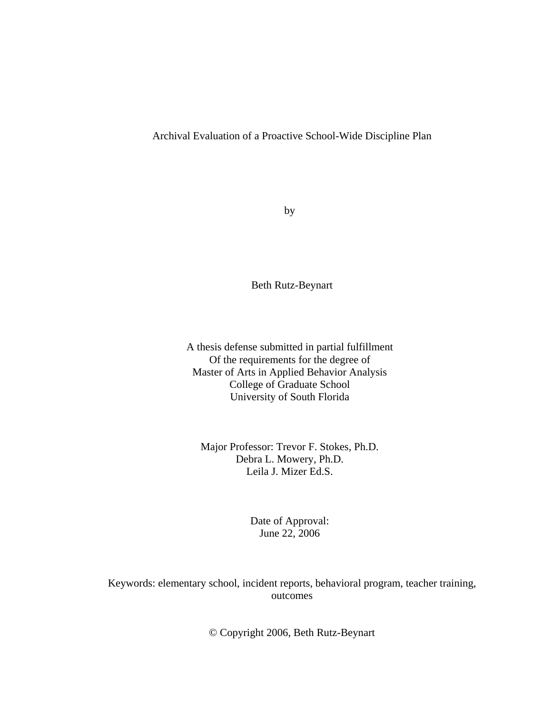#### Archival Evaluation of a Proactive School-Wide Discipline Plan

by

Beth Rutz-Beynart

A thesis defense submitted in partial fulfillment Of the requirements for the degree of Master of Arts in Applied Behavior Analysis College of Graduate School University of South Florida

Major Professor: Trevor F. Stokes, Ph.D. Debra L. Mowery, Ph.D. Leila J. Mizer Ed.S.

> Date of Approval: June 22, 2006

Keywords: elementary school, incident reports, behavioral program, teacher training, outcomes

© Copyright 2006, Beth Rutz-Beynart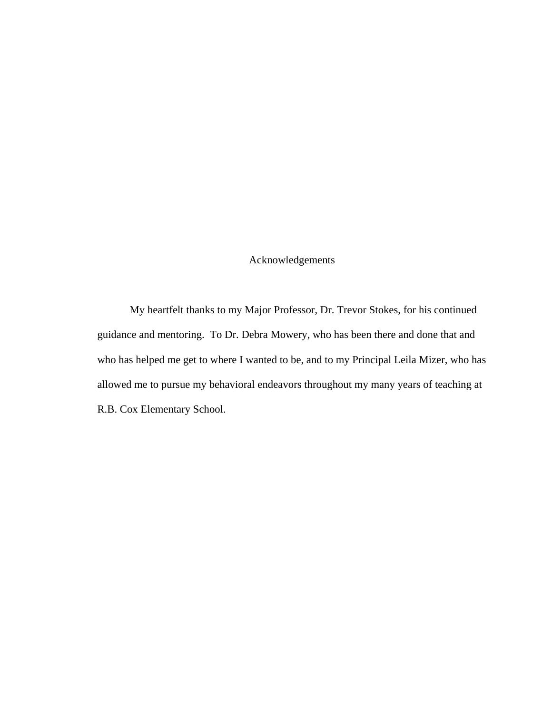## Acknowledgements

 My heartfelt thanks to my Major Professor, Dr. Trevor Stokes, for his continued guidance and mentoring. To Dr. Debra Mowery, who has been there and done that and who has helped me get to where I wanted to be, and to my Principal Leila Mizer, who has allowed me to pursue my behavioral endeavors throughout my many years of teaching at R.B. Cox Elementary School.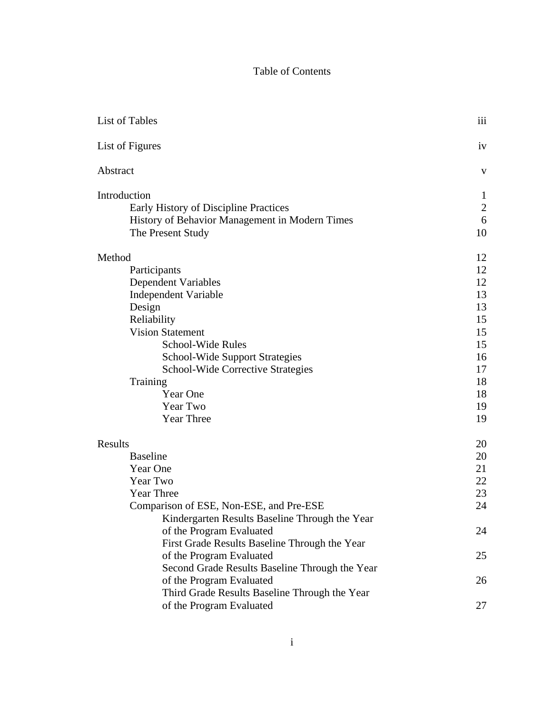# Table of Contents

| List of Tables                                 | 111            |
|------------------------------------------------|----------------|
| List of Figures                                | iv             |
| Abstract                                       | V              |
| Introduction                                   | 1              |
| Early History of Discipline Practices          | $\overline{2}$ |
| History of Behavior Management in Modern Times | 6              |
| The Present Study                              | 10             |
| Method                                         | 12             |
| Participants                                   | 12             |
| Dependent Variables                            | 12             |
| Independent Variable                           | 13             |
| Design                                         | 13             |
| Reliability                                    | 15             |
| <b>Vision Statement</b>                        | 15             |
| School-Wide Rules                              | 15             |
| <b>School-Wide Support Strategies</b>          | 16             |
| <b>School-Wide Corrective Strategies</b>       | 17             |
| Training                                       | 18             |
| Year One                                       | 18             |
| Year Two                                       | 19             |
| <b>Year Three</b>                              | 19             |
| Results                                        | 20             |
| <b>Baseline</b>                                | 20             |
| Year One                                       | 21             |
| Year Two                                       | 22             |
| <b>Year Three</b>                              | 23             |
| Comparison of ESE, Non-ESE, and Pre-ESE        | 24             |
| Kindergarten Results Baseline Through the Year |                |
| of the Program Evaluated                       | 24             |
| First Grade Results Baseline Through the Year  |                |
| of the Program Evaluated                       | 25             |
| Second Grade Results Baseline Through the Year |                |
| of the Program Evaluated                       | 26             |
| Third Grade Results Baseline Through the Year  |                |
| of the Program Evaluated                       | 27             |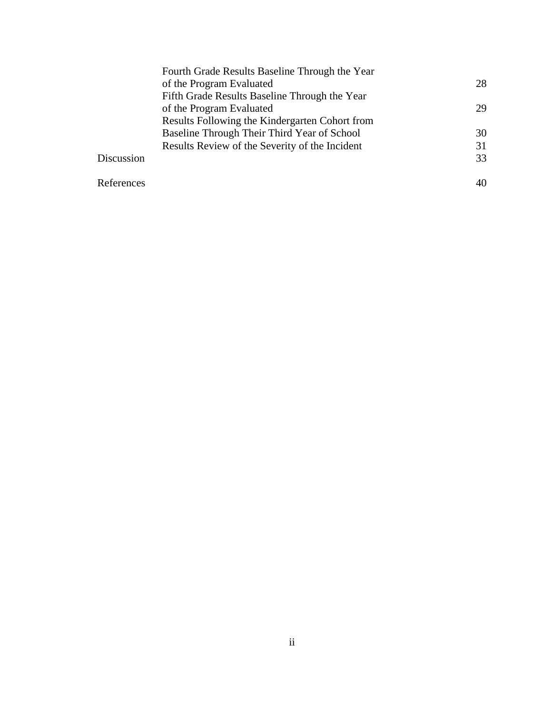|            | Fourth Grade Results Baseline Through the Year |    |
|------------|------------------------------------------------|----|
|            | of the Program Evaluated                       | 28 |
|            | Fifth Grade Results Baseline Through the Year  |    |
|            | of the Program Evaluated                       | 29 |
|            | Results Following the Kindergarten Cohort from |    |
|            | Baseline Through Their Third Year of School    | 30 |
|            | Results Review of the Severity of the Incident | 31 |
| Discussion |                                                | 33 |
| References |                                                |    |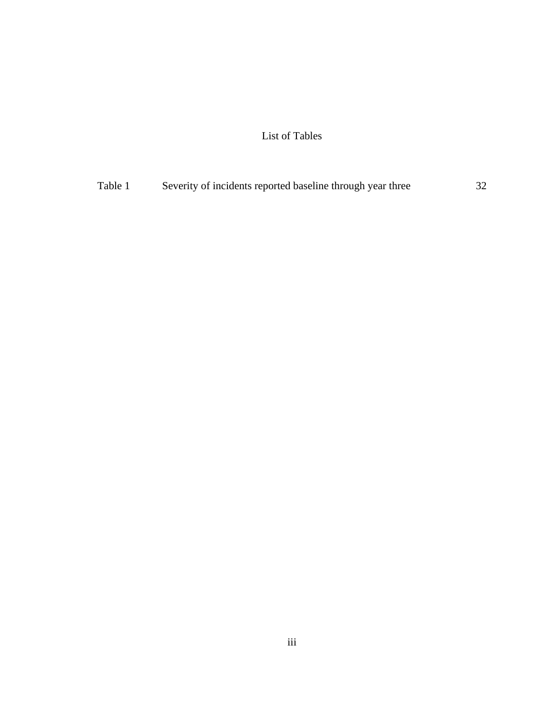List of Tables

| Table 1 | Severity of incidents reported baseline through year three | 32 |
|---------|------------------------------------------------------------|----|
|         |                                                            |    |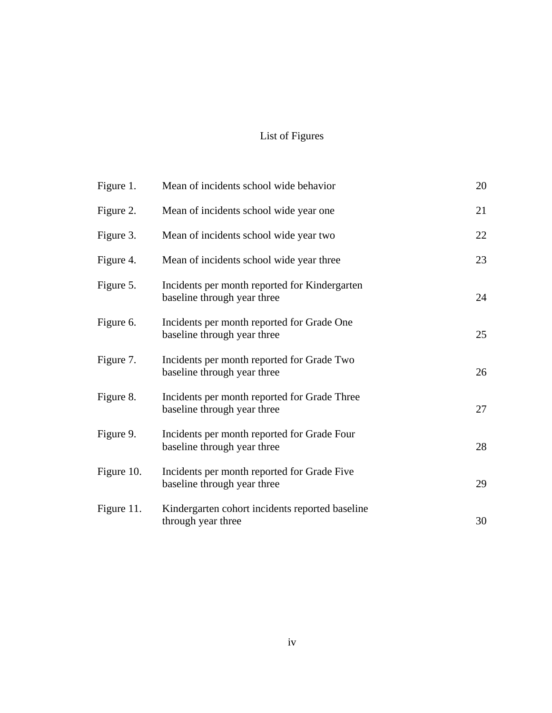# List of Figures

| Figure 1.  | Mean of incidents school wide behavior                                       | 20 |
|------------|------------------------------------------------------------------------------|----|
| Figure 2.  | Mean of incidents school wide year one                                       | 21 |
| Figure 3.  | Mean of incidents school wide year two                                       | 22 |
| Figure 4.  | Mean of incidents school wide year three                                     | 23 |
| Figure 5.  | Incidents per month reported for Kindergarten<br>baseline through year three | 24 |
| Figure 6.  | Incidents per month reported for Grade One<br>baseline through year three    | 25 |
| Figure 7.  | Incidents per month reported for Grade Two<br>baseline through year three    | 26 |
| Figure 8.  | Incidents per month reported for Grade Three<br>baseline through year three  | 27 |
| Figure 9.  | Incidents per month reported for Grade Four<br>baseline through year three   | 28 |
| Figure 10. | Incidents per month reported for Grade Five<br>baseline through year three   | 29 |
| Figure 11. | Kindergarten cohort incidents reported baseline<br>through year three        | 30 |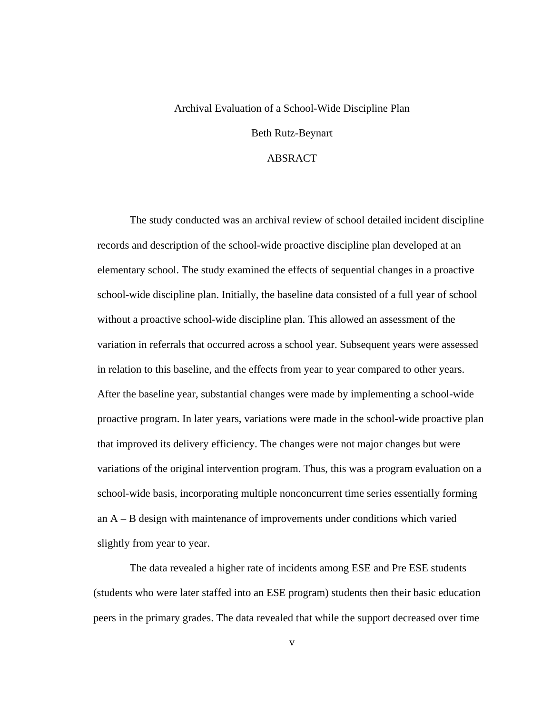# Archival Evaluation of a School-Wide Discipline Plan

Beth Rutz-Beynart

### ABSRACT

The study conducted was an archival review of school detailed incident discipline records and description of the school-wide proactive discipline plan developed at an elementary school. The study examined the effects of sequential changes in a proactive school-wide discipline plan. Initially, the baseline data consisted of a full year of school without a proactive school-wide discipline plan. This allowed an assessment of the variation in referrals that occurred across a school year. Subsequent years were assessed in relation to this baseline, and the effects from year to year compared to other years. After the baseline year, substantial changes were made by implementing a school-wide proactive program. In later years, variations were made in the school-wide proactive plan that improved its delivery efficiency. The changes were not major changes but were variations of the original intervention program. Thus, this was a program evaluation on a school-wide basis, incorporating multiple nonconcurrent time series essentially forming an  $A - B$  design with maintenance of improvements under conditions which varied slightly from year to year.

 The data revealed a higher rate of incidents among ESE and Pre ESE students (students who were later staffed into an ESE program) students then their basic education peers in the primary grades. The data revealed that while the support decreased over time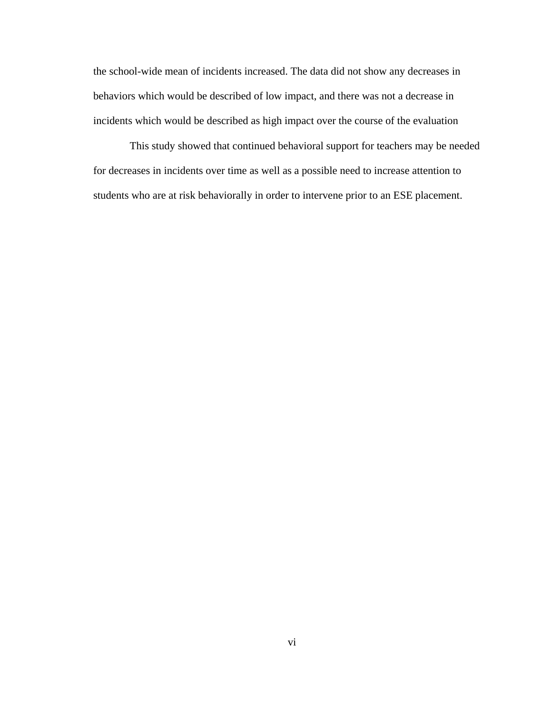the school-wide mean of incidents increased. The data did not show any decreases in behaviors which would be described of low impact, and there was not a decrease in incidents which would be described as high impact over the course of the evaluation

 This study showed that continued behavioral support for teachers may be needed for decreases in incidents over time as well as a possible need to increase attention to students who are at risk behaviorally in order to intervene prior to an ESE placement.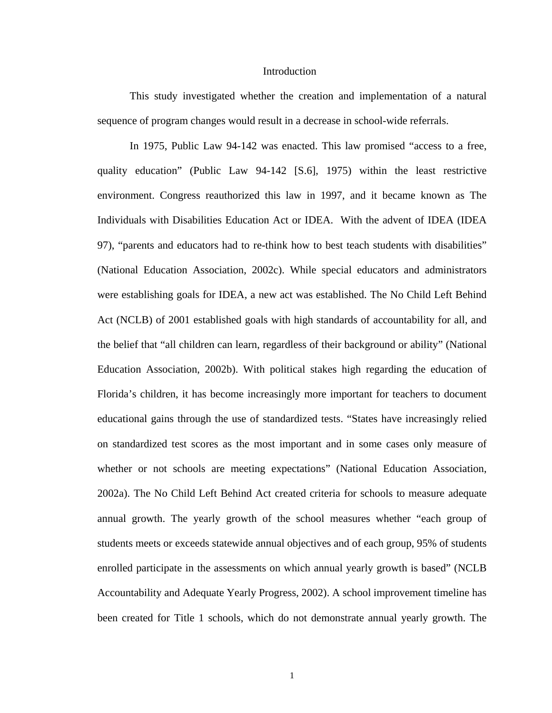#### Introduction

 This study investigated whether the creation and implementation of a natural sequence of program changes would result in a decrease in school-wide referrals.

In 1975, Public Law 94-142 was enacted. This law promised "access to a free, quality education" (Public Law 94-142 [S.6], 1975) within the least restrictive environment. Congress reauthorized this law in 1997, and it became known as The Individuals with Disabilities Education Act or IDEA. With the advent of IDEA (IDEA 97), "parents and educators had to re-think how to best teach students with disabilities" (National Education Association, 2002c). While special educators and administrators were establishing goals for IDEA, a new act was established. The No Child Left Behind Act (NCLB) of 2001 established goals with high standards of accountability for all, and the belief that "all children can learn, regardless of their background or ability" (National Education Association, 2002b). With political stakes high regarding the education of Florida's children, it has become increasingly more important for teachers to document educational gains through the use of standardized tests. "States have increasingly relied on standardized test scores as the most important and in some cases only measure of whether or not schools are meeting expectations" (National Education Association, 2002a). The No Child Left Behind Act created criteria for schools to measure adequate annual growth. The yearly growth of the school measures whether "each group of students meets or exceeds statewide annual objectives and of each group, 95% of students enrolled participate in the assessments on which annual yearly growth is based" (NCLB Accountability and Adequate Yearly Progress, 2002). A school improvement timeline has been created for Title 1 schools, which do not demonstrate annual yearly growth. The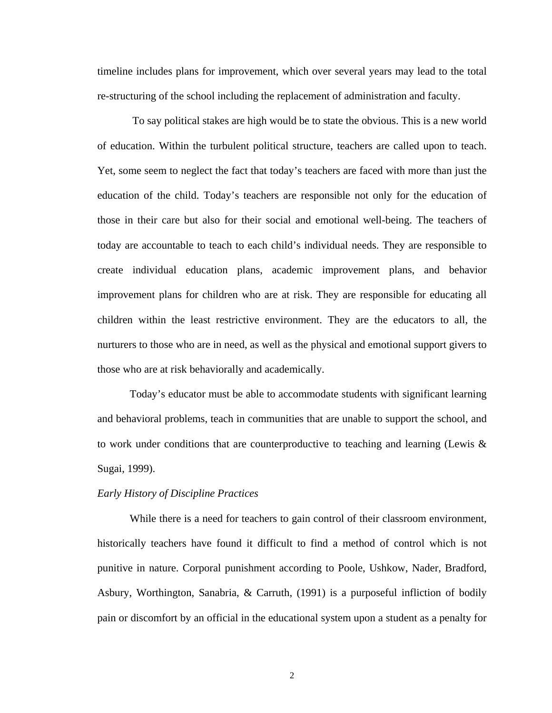timeline includes plans for improvement, which over several years may lead to the total re-structuring of the school including the replacement of administration and faculty.

 To say political stakes are high would be to state the obvious. This is a new world of education. Within the turbulent political structure, teachers are called upon to teach. Yet, some seem to neglect the fact that today's teachers are faced with more than just the education of the child. Today's teachers are responsible not only for the education of those in their care but also for their social and emotional well-being. The teachers of today are accountable to teach to each child's individual needs. They are responsible to create individual education plans, academic improvement plans, and behavior improvement plans for children who are at risk. They are responsible for educating all children within the least restrictive environment. They are the educators to all, the nurturers to those who are in need, as well as the physical and emotional support givers to those who are at risk behaviorally and academically.

Today's educator must be able to accommodate students with significant learning and behavioral problems, teach in communities that are unable to support the school, and to work under conditions that are counterproductive to teaching and learning (Lewis & Sugai, 1999).

#### *Early History of Discipline Practices*

While there is a need for teachers to gain control of their classroom environment, historically teachers have found it difficult to find a method of control which is not punitive in nature. Corporal punishment according to Poole, Ushkow, Nader, Bradford, Asbury, Worthington, Sanabria, & Carruth, (1991) is a purposeful infliction of bodily pain or discomfort by an official in the educational system upon a student as a penalty for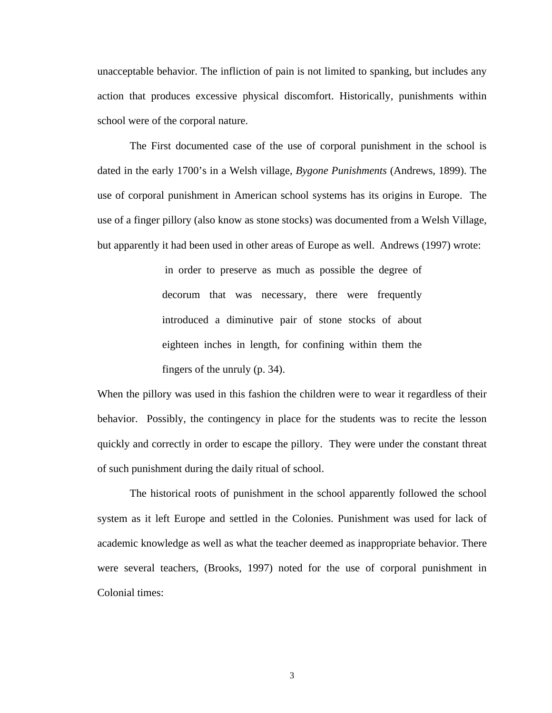unacceptable behavior. The infliction of pain is not limited to spanking, but includes any action that produces excessive physical discomfort. Historically, punishments within school were of the corporal nature.

The First documented case of the use of corporal punishment in the school is dated in the early 1700's in a Welsh village, *Bygone Punishments* (Andrews, 1899). The use of corporal punishment in American school systems has its origins in Europe. The use of a finger pillory (also know as stone stocks) was documented from a Welsh Village, but apparently it had been used in other areas of Europe as well. Andrews (1997) wrote:

> in order to preserve as much as possible the degree of decorum that was necessary, there were frequently introduced a diminutive pair of stone stocks of about eighteen inches in length, for confining within them the fingers of the unruly (p. 34).

When the pillory was used in this fashion the children were to wear it regardless of their behavior. Possibly, the contingency in place for the students was to recite the lesson quickly and correctly in order to escape the pillory. They were under the constant threat of such punishment during the daily ritual of school.

The historical roots of punishment in the school apparently followed the school system as it left Europe and settled in the Colonies. Punishment was used for lack of academic knowledge as well as what the teacher deemed as inappropriate behavior. There were several teachers, (Brooks, 1997) noted for the use of corporal punishment in Colonial times: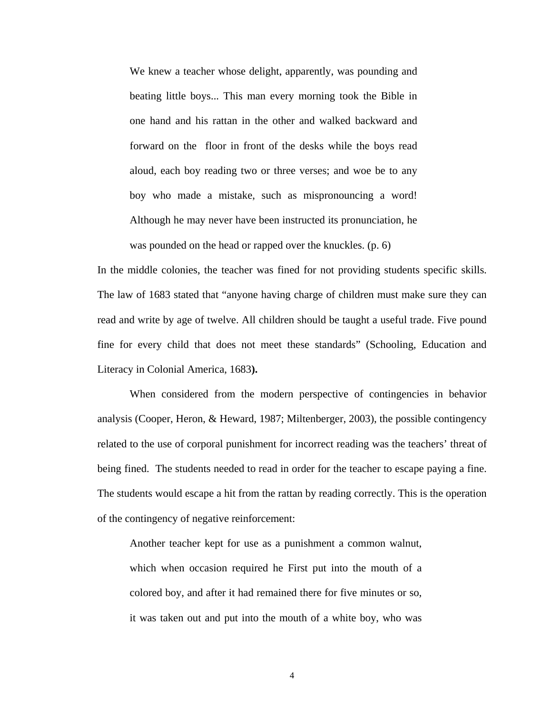We knew a teacher whose delight, apparently, was pounding and beating little boys... This man every morning took the Bible in one hand and his rattan in the other and walked backward and forward on the floor in front of the desks while the boys read aloud, each boy reading two or three verses; and woe be to any boy who made a mistake, such as mispronouncing a word! Although he may never have been instructed its pronunciation, he was pounded on the head or rapped over the knuckles. (p. 6)

In the middle colonies, the teacher was fined for not providing students specific skills. The law of 1683 stated that "anyone having charge of children must make sure they can read and write by age of twelve. All children should be taught a useful trade. Five pound fine for every child that does not meet these standards" (Schooling, Education and Literacy in Colonial America, 1683**).**

When considered from the modern perspective of contingencies in behavior analysis (Cooper, Heron, & Heward, 1987; Miltenberger, 2003), the possible contingency related to the use of corporal punishment for incorrect reading was the teachers' threat of being fined. The students needed to read in order for the teacher to escape paying a fine. The students would escape a hit from the rattan by reading correctly. This is the operation of the contingency of negative reinforcement:

Another teacher kept for use as a punishment a common walnut, which when occasion required he First put into the mouth of a colored boy, and after it had remained there for five minutes or so, it was taken out and put into the mouth of a white boy, who was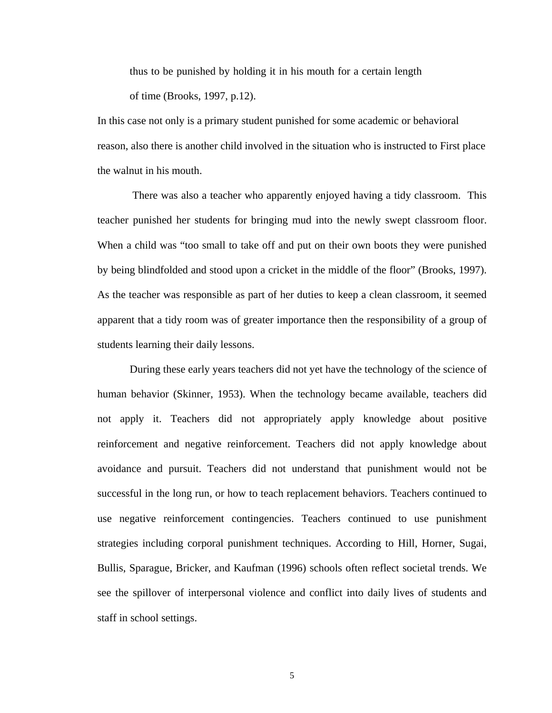thus to be punished by holding it in his mouth for a certain length of time (Brooks, 1997, p.12).

In this case not only is a primary student punished for some academic or behavioral reason, also there is another child involved in the situation who is instructed to First place the walnut in his mouth.

There was also a teacher who apparently enjoyed having a tidy classroom. This teacher punished her students for bringing mud into the newly swept classroom floor. When a child was "too small to take off and put on their own boots they were punished by being blindfolded and stood upon a cricket in the middle of the floor" (Brooks, 1997). As the teacher was responsible as part of her duties to keep a clean classroom, it seemed apparent that a tidy room was of greater importance then the responsibility of a group of students learning their daily lessons.

During these early years teachers did not yet have the technology of the science of human behavior (Skinner, 1953). When the technology became available, teachers did not apply it. Teachers did not appropriately apply knowledge about positive reinforcement and negative reinforcement. Teachers did not apply knowledge about avoidance and pursuit. Teachers did not understand that punishment would not be successful in the long run, or how to teach replacement behaviors. Teachers continued to use negative reinforcement contingencies. Teachers continued to use punishment strategies including corporal punishment techniques. According to Hill, Horner, Sugai, Bullis, Sparague, Bricker, and Kaufman (1996) schools often reflect societal trends. We see the spillover of interpersonal violence and conflict into daily lives of students and staff in school settings.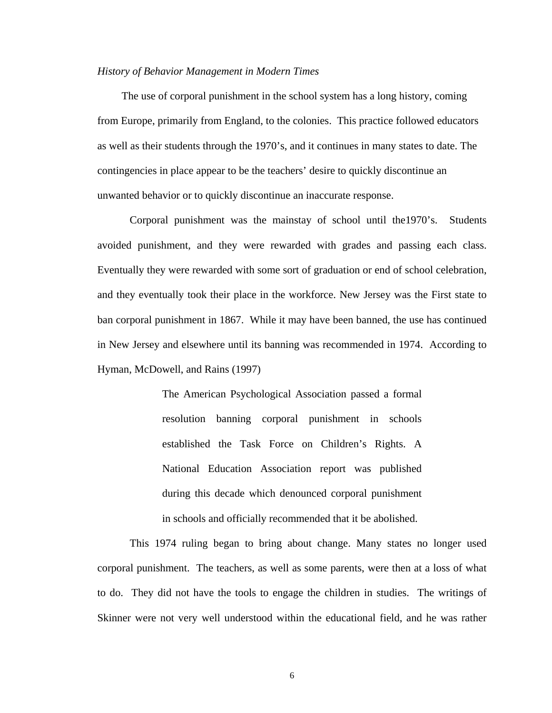#### *History of Behavior Management in Modern Times*

 The use of corporal punishment in the school system has a long history, coming from Europe, primarily from England, to the colonies. This practice followed educators as well as their students through the 1970's, and it continues in many states to date. The contingencies in place appear to be the teachers' desire to quickly discontinue an unwanted behavior or to quickly discontinue an inaccurate response.

Corporal punishment was the mainstay of school until the1970's. Students avoided punishment, and they were rewarded with grades and passing each class. Eventually they were rewarded with some sort of graduation or end of school celebration, and they eventually took their place in the workforce. New Jersey was the First state to ban corporal punishment in 1867. While it may have been banned, the use has continued in New Jersey and elsewhere until its banning was recommended in 1974. According to Hyman, McDowell, and Rains (1997)

> The American Psychological Association passed a formal resolution banning corporal punishment in schools established the Task Force on Children's Rights. A National Education Association report was published during this decade which denounced corporal punishment in schools and officially recommended that it be abolished.

This 1974 ruling began to bring about change. Many states no longer used corporal punishment. The teachers, as well as some parents, were then at a loss of what to do. They did not have the tools to engage the children in studies. The writings of Skinner were not very well understood within the educational field, and he was rather

6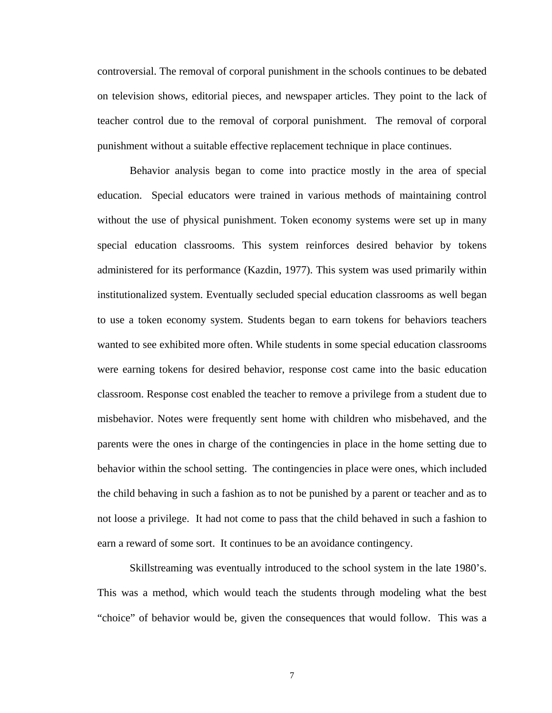controversial. The removal of corporal punishment in the schools continues to be debated on television shows, editorial pieces, and newspaper articles. They point to the lack of teacher control due to the removal of corporal punishment. The removal of corporal punishment without a suitable effective replacement technique in place continues.

Behavior analysis began to come into practice mostly in the area of special education. Special educators were trained in various methods of maintaining control without the use of physical punishment. Token economy systems were set up in many special education classrooms. This system reinforces desired behavior by tokens administered for its performance (Kazdin, 1977). This system was used primarily within institutionalized system. Eventually secluded special education classrooms as well began to use a token economy system. Students began to earn tokens for behaviors teachers wanted to see exhibited more often. While students in some special education classrooms were earning tokens for desired behavior, response cost came into the basic education classroom. Response cost enabled the teacher to remove a privilege from a student due to misbehavior. Notes were frequently sent home with children who misbehaved, and the parents were the ones in charge of the contingencies in place in the home setting due to behavior within the school setting. The contingencies in place were ones, which included the child behaving in such a fashion as to not be punished by a parent or teacher and as to not loose a privilege. It had not come to pass that the child behaved in such a fashion to earn a reward of some sort. It continues to be an avoidance contingency.

Skillstreaming was eventually introduced to the school system in the late 1980's. This was a method, which would teach the students through modeling what the best "choice" of behavior would be, given the consequences that would follow. This was a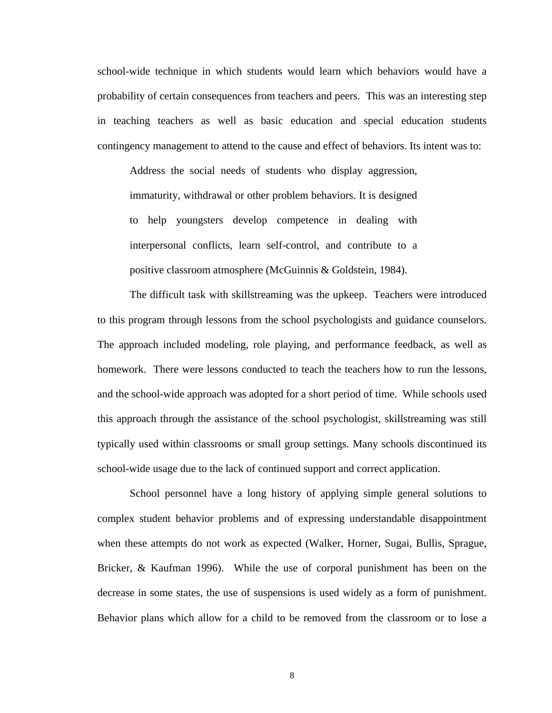school-wide technique in which students would learn which behaviors would have a probability of certain consequences from teachers and peers. This was an interesting step in teaching teachers as well as basic education and special education students contingency management to attend to the cause and effect of behaviors. Its intent was to:

Address the social needs of students who display aggression, immaturity, withdrawal or other problem behaviors. It is designed to help youngsters develop competence in dealing with interpersonal conflicts, learn self-control, and contribute to a positive classroom atmosphere (McGuinnis & Goldstein, 1984).

The difficult task with skillstreaming was the upkeep. Teachers were introduced to this program through lessons from the school psychologists and guidance counselors. The approach included modeling, role playing, and performance feedback, as well as homework. There were lessons conducted to teach the teachers how to run the lessons, and the school-wide approach was adopted for a short period of time. While schools used this approach through the assistance of the school psychologist, skillstreaming was still typically used within classrooms or small group settings. Many schools discontinued its school-wide usage due to the lack of continued support and correct application.

School personnel have a long history of applying simple general solutions to complex student behavior problems and of expressing understandable disappointment when these attempts do not work as expected (Walker, Horner, Sugai, Bullis, Sprague, Bricker, & Kaufman 1996). While the use of corporal punishment has been on the decrease in some states, the use of suspensions is used widely as a form of punishment. Behavior plans which allow for a child to be removed from the classroom or to lose a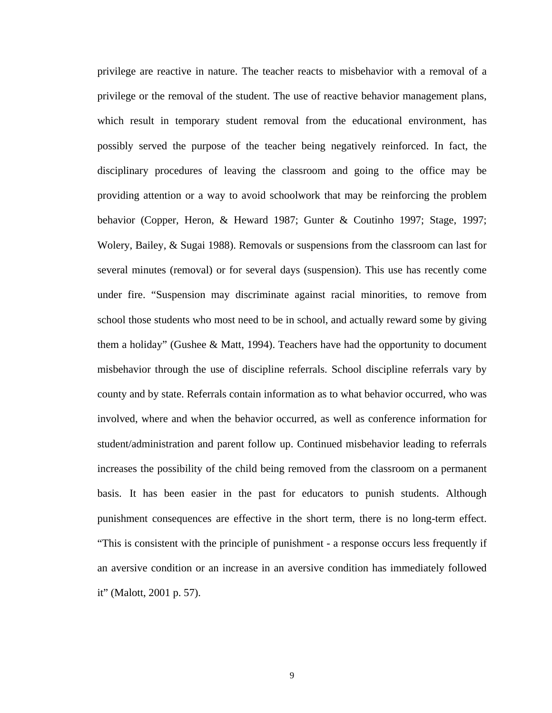privilege are reactive in nature. The teacher reacts to misbehavior with a removal of a privilege or the removal of the student. The use of reactive behavior management plans, which result in temporary student removal from the educational environment, has possibly served the purpose of the teacher being negatively reinforced. In fact, the disciplinary procedures of leaving the classroom and going to the office may be providing attention or a way to avoid schoolwork that may be reinforcing the problem behavior (Copper, Heron, & Heward 1987; Gunter & Coutinho 1997; Stage, 1997; Wolery, Bailey, & Sugai 1988). Removals or suspensions from the classroom can last for several minutes (removal) or for several days (suspension). This use has recently come under fire. "Suspension may discriminate against racial minorities, to remove from school those students who most need to be in school, and actually reward some by giving them a holiday" (Gushee & Matt, 1994). Teachers have had the opportunity to document misbehavior through the use of discipline referrals. School discipline referrals vary by county and by state. Referrals contain information as to what behavior occurred, who was involved, where and when the behavior occurred, as well as conference information for student/administration and parent follow up. Continued misbehavior leading to referrals increases the possibility of the child being removed from the classroom on a permanent basis. It has been easier in the past for educators to punish students. Although punishment consequences are effective in the short term, there is no long-term effect. "This is consistent with the principle of punishment - a response occurs less frequently if an aversive condition or an increase in an aversive condition has immediately followed it" (Malott, 2001 p. 57).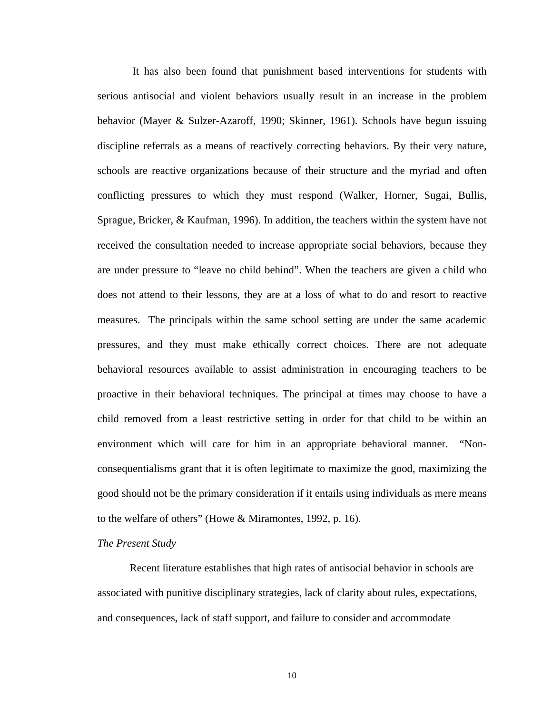It has also been found that punishment based interventions for students with serious antisocial and violent behaviors usually result in an increase in the problem behavior (Mayer & Sulzer-Azaroff, 1990; Skinner, 1961). Schools have begun issuing discipline referrals as a means of reactively correcting behaviors. By their very nature, schools are reactive organizations because of their structure and the myriad and often conflicting pressures to which they must respond (Walker, Horner, Sugai, Bullis, Sprague, Bricker, & Kaufman, 1996). In addition, the teachers within the system have not received the consultation needed to increase appropriate social behaviors, because they are under pressure to "leave no child behind". When the teachers are given a child who does not attend to their lessons, they are at a loss of what to do and resort to reactive measures. The principals within the same school setting are under the same academic pressures, and they must make ethically correct choices. There are not adequate behavioral resources available to assist administration in encouraging teachers to be proactive in their behavioral techniques. The principal at times may choose to have a child removed from a least restrictive setting in order for that child to be within an environment which will care for him in an appropriate behavioral manner. "Nonconsequentialisms grant that it is often legitimate to maximize the good, maximizing the good should not be the primary consideration if it entails using individuals as mere means to the welfare of others" (Howe & Miramontes, 1992, p. 16).

#### *The Present Study*

Recent literature establishes that high rates of antisocial behavior in schools are associated with punitive disciplinary strategies, lack of clarity about rules, expectations, and consequences, lack of staff support, and failure to consider and accommodate

10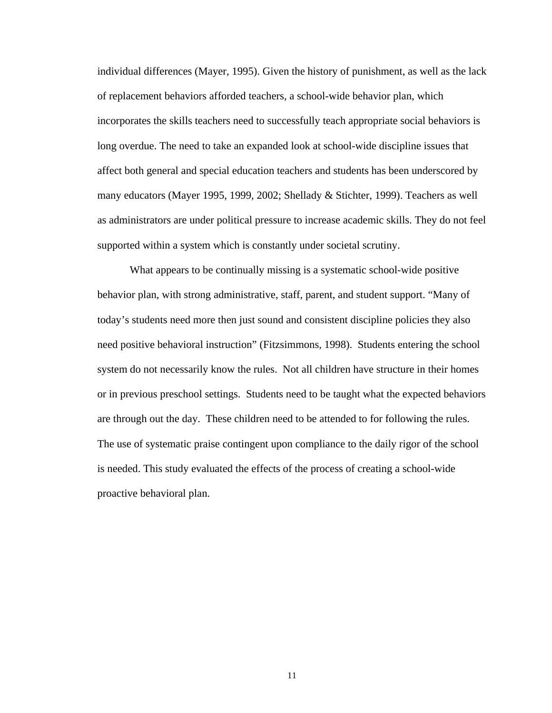individual differences (Mayer, 1995). Given the history of punishment, as well as the lack of replacement behaviors afforded teachers, a school-wide behavior plan, which incorporates the skills teachers need to successfully teach appropriate social behaviors is long overdue. The need to take an expanded look at school-wide discipline issues that affect both general and special education teachers and students has been underscored by many educators (Mayer 1995, 1999, 2002; Shellady & Stichter, 1999). Teachers as well as administrators are under political pressure to increase academic skills. They do not feel supported within a system which is constantly under societal scrutiny.

What appears to be continually missing is a systematic school-wide positive behavior plan, with strong administrative, staff, parent, and student support. "Many of today's students need more then just sound and consistent discipline policies they also need positive behavioral instruction" (Fitzsimmons, 1998). Students entering the school system do not necessarily know the rules. Not all children have structure in their homes or in previous preschool settings. Students need to be taught what the expected behaviors are through out the day. These children need to be attended to for following the rules. The use of systematic praise contingent upon compliance to the daily rigor of the school is needed. This study evaluated the effects of the process of creating a school-wide proactive behavioral plan.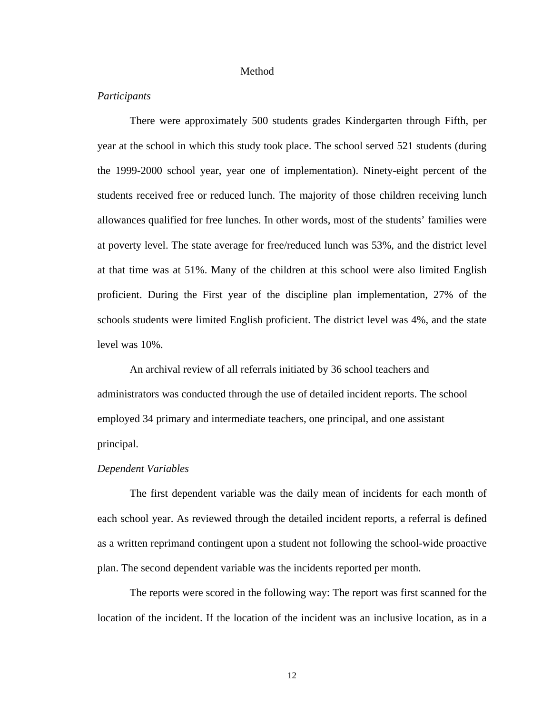#### Method

#### *Participants*

There were approximately 500 students grades Kindergarten through Fifth, per year at the school in which this study took place. The school served 521 students (during the 1999-2000 school year, year one of implementation). Ninety-eight percent of the students received free or reduced lunch. The majority of those children receiving lunch allowances qualified for free lunches. In other words, most of the students' families were at poverty level. The state average for free/reduced lunch was 53%, and the district level at that time was at 51%. Many of the children at this school were also limited English proficient. During the First year of the discipline plan implementation, 27% of the schools students were limited English proficient. The district level was 4%, and the state level was 10%.

An archival review of all referrals initiated by 36 school teachers and administrators was conducted through the use of detailed incident reports. The school employed 34 primary and intermediate teachers, one principal, and one assistant principal.

#### *Dependent Variables*

The first dependent variable was the daily mean of incidents for each month of each school year. As reviewed through the detailed incident reports, a referral is defined as a written reprimand contingent upon a student not following the school-wide proactive plan. The second dependent variable was the incidents reported per month.

The reports were scored in the following way: The report was first scanned for the location of the incident. If the location of the incident was an inclusive location, as in a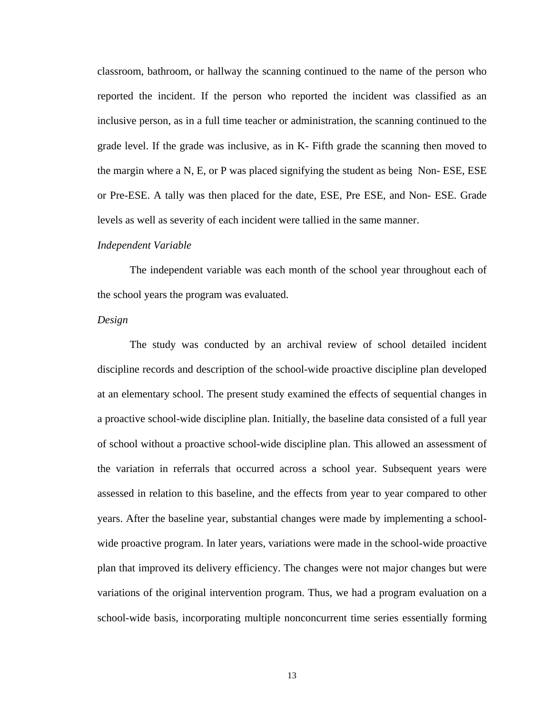classroom, bathroom, or hallway the scanning continued to the name of the person who reported the incident. If the person who reported the incident was classified as an inclusive person, as in a full time teacher or administration, the scanning continued to the grade level. If the grade was inclusive, as in K- Fifth grade the scanning then moved to the margin where a N, E, or P was placed signifying the student as being Non- ESE, ESE or Pre-ESE. A tally was then placed for the date, ESE, Pre ESE, and Non- ESE. Grade levels as well as severity of each incident were tallied in the same manner.

#### *Independent Variable*

The independent variable was each month of the school year throughout each of the school years the program was evaluated.

#### *Design*

The study was conducted by an archival review of school detailed incident discipline records and description of the school-wide proactive discipline plan developed at an elementary school. The present study examined the effects of sequential changes in a proactive school-wide discipline plan. Initially, the baseline data consisted of a full year of school without a proactive school-wide discipline plan. This allowed an assessment of the variation in referrals that occurred across a school year. Subsequent years were assessed in relation to this baseline, and the effects from year to year compared to other years. After the baseline year, substantial changes were made by implementing a schoolwide proactive program. In later years, variations were made in the school-wide proactive plan that improved its delivery efficiency. The changes were not major changes but were variations of the original intervention program. Thus, we had a program evaluation on a school-wide basis, incorporating multiple nonconcurrent time series essentially forming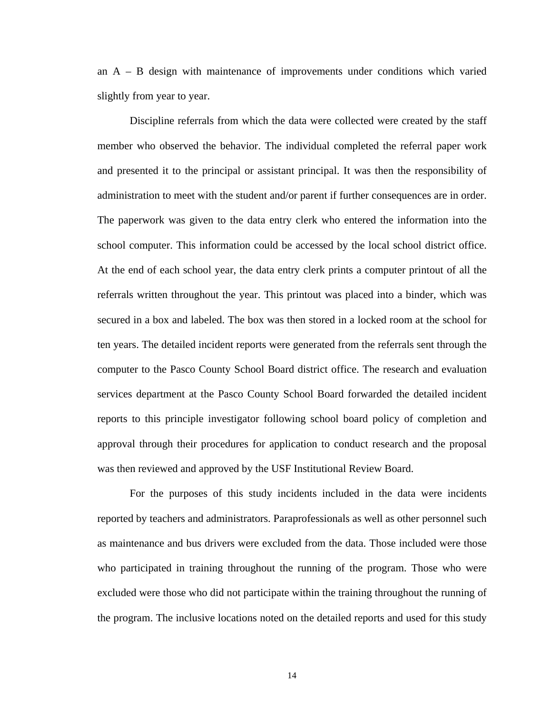an A – B design with maintenance of improvements under conditions which varied slightly from year to year.

Discipline referrals from which the data were collected were created by the staff member who observed the behavior. The individual completed the referral paper work and presented it to the principal or assistant principal. It was then the responsibility of administration to meet with the student and/or parent if further consequences are in order. The paperwork was given to the data entry clerk who entered the information into the school computer. This information could be accessed by the local school district office. At the end of each school year, the data entry clerk prints a computer printout of all the referrals written throughout the year. This printout was placed into a binder, which was secured in a box and labeled. The box was then stored in a locked room at the school for ten years. The detailed incident reports were generated from the referrals sent through the computer to the Pasco County School Board district office. The research and evaluation services department at the Pasco County School Board forwarded the detailed incident reports to this principle investigator following school board policy of completion and approval through their procedures for application to conduct research and the proposal was then reviewed and approved by the USF Institutional Review Board.

For the purposes of this study incidents included in the data were incidents reported by teachers and administrators. Paraprofessionals as well as other personnel such as maintenance and bus drivers were excluded from the data. Those included were those who participated in training throughout the running of the program. Those who were excluded were those who did not participate within the training throughout the running of the program. The inclusive locations noted on the detailed reports and used for this study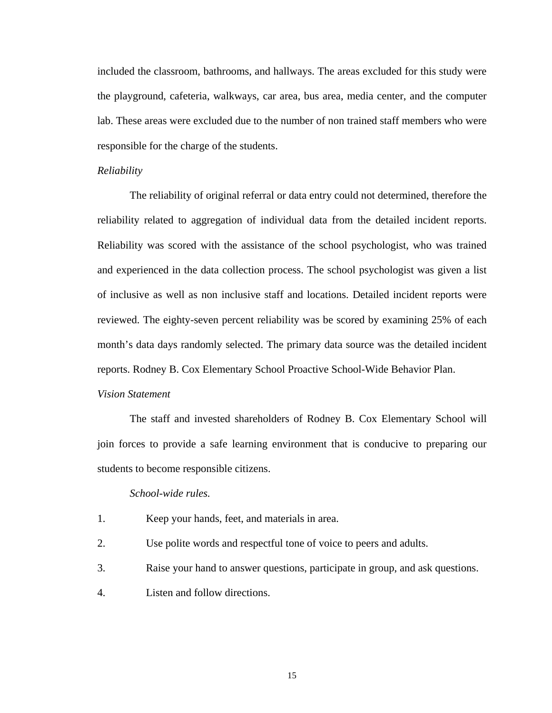included the classroom, bathrooms, and hallways. The areas excluded for this study were the playground, cafeteria, walkways, car area, bus area, media center, and the computer lab. These areas were excluded due to the number of non trained staff members who were responsible for the charge of the students.

#### *Reliability*

The reliability of original referral or data entry could not determined, therefore the reliability related to aggregation of individual data from the detailed incident reports. Reliability was scored with the assistance of the school psychologist, who was trained and experienced in the data collection process. The school psychologist was given a list of inclusive as well as non inclusive staff and locations. Detailed incident reports were reviewed. The eighty-seven percent reliability was be scored by examining 25% of each month's data days randomly selected. The primary data source was the detailed incident reports. Rodney B. Cox Elementary School Proactive School-Wide Behavior Plan.

#### *Vision Statement*

The staff and invested shareholders of Rodney B. Cox Elementary School will join forces to provide a safe learning environment that is conducive to preparing our students to become responsible citizens.

#### *School-wide rules.*

- 1. Keep your hands, feet, and materials in area.
- 2. Use polite words and respectful tone of voice to peers and adults.
- 3. Raise your hand to answer questions, participate in group, and ask questions.
- 4. Listen and follow directions.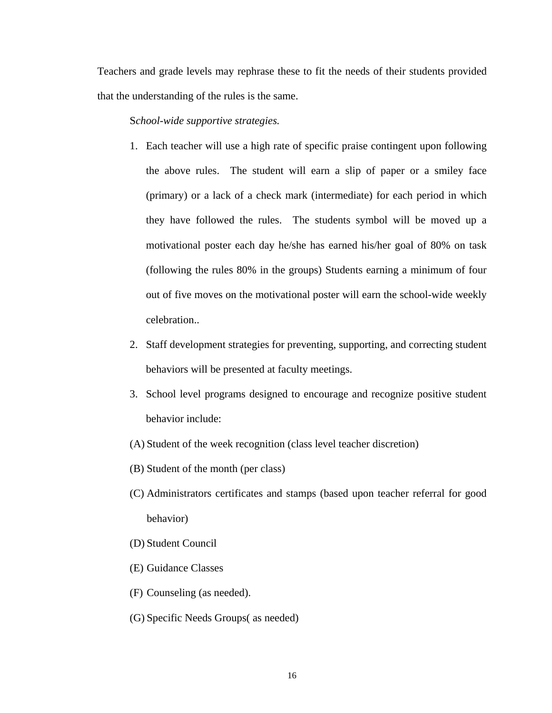Teachers and grade levels may rephrase these to fit the needs of their students provided that the understanding of the rules is the same.

#### S*chool-wide supportive strategies.*

- 1. Each teacher will use a high rate of specific praise contingent upon following the above rules. The student will earn a slip of paper or a smiley face (primary) or a lack of a check mark (intermediate) for each period in which they have followed the rules. The students symbol will be moved up a motivational poster each day he/she has earned his/her goal of 80% on task (following the rules 80% in the groups) Students earning a minimum of four out of five moves on the motivational poster will earn the school-wide weekly celebration..
- 2. Staff development strategies for preventing, supporting, and correcting student behaviors will be presented at faculty meetings.
- 3. School level programs designed to encourage and recognize positive student behavior include:
- (A) Student of the week recognition (class level teacher discretion)
- (B) Student of the month (per class)
- (C) Administrators certificates and stamps (based upon teacher referral for good behavior)
- (D) Student Council
- (E) Guidance Classes
- (F) Counseling (as needed).
- (G) Specific Needs Groups( as needed)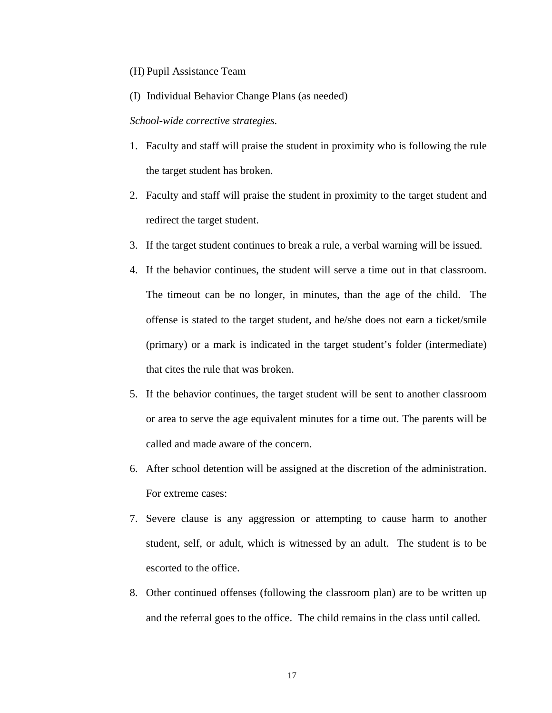#### (H) Pupil Assistance Team

(I) Individual Behavior Change Plans (as needed)

#### *School-wide corrective strategies.*

- 1. Faculty and staff will praise the student in proximity who is following the rule the target student has broken.
- 2. Faculty and staff will praise the student in proximity to the target student and redirect the target student.
- 3. If the target student continues to break a rule, a verbal warning will be issued.
- 4. If the behavior continues, the student will serve a time out in that classroom. The timeout can be no longer, in minutes, than the age of the child. The offense is stated to the target student, and he/she does not earn a ticket/smile (primary) or a mark is indicated in the target student's folder (intermediate) that cites the rule that was broken.
- 5. If the behavior continues, the target student will be sent to another classroom or area to serve the age equivalent minutes for a time out. The parents will be called and made aware of the concern.
- 6. After school detention will be assigned at the discretion of the administration. For extreme cases:
- 7. Severe clause is any aggression or attempting to cause harm to another student, self, or adult, which is witnessed by an adult. The student is to be escorted to the office.
- 8. Other continued offenses (following the classroom plan) are to be written up and the referral goes to the office. The child remains in the class until called.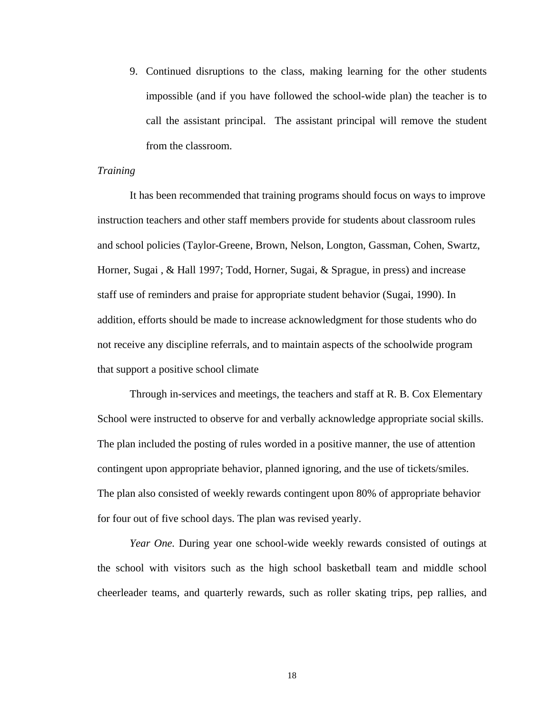9. Continued disruptions to the class, making learning for the other students impossible (and if you have followed the school-wide plan) the teacher is to call the assistant principal. The assistant principal will remove the student from the classroom.

#### *Training*

It has been recommended that training programs should focus on ways to improve instruction teachers and other staff members provide for students about classroom rules and school policies (Taylor-Greene, Brown, Nelson, Longton, Gassman, Cohen, Swartz, Horner, Sugai , & Hall 1997; Todd, Horner, Sugai, & Sprague, in press) and increase staff use of reminders and praise for appropriate student behavior (Sugai, 1990). In addition, efforts should be made to increase acknowledgment for those students who do not receive any discipline referrals, and to maintain aspects of the schoolwide program that support a positive school climate

Through in-services and meetings, the teachers and staff at R. B. Cox Elementary School were instructed to observe for and verbally acknowledge appropriate social skills. The plan included the posting of rules worded in a positive manner, the use of attention contingent upon appropriate behavior, planned ignoring, and the use of tickets/smiles. The plan also consisted of weekly rewards contingent upon 80% of appropriate behavior for four out of five school days. The plan was revised yearly.

*Year One.* During year one school-wide weekly rewards consisted of outings at the school with visitors such as the high school basketball team and middle school cheerleader teams, and quarterly rewards, such as roller skating trips, pep rallies, and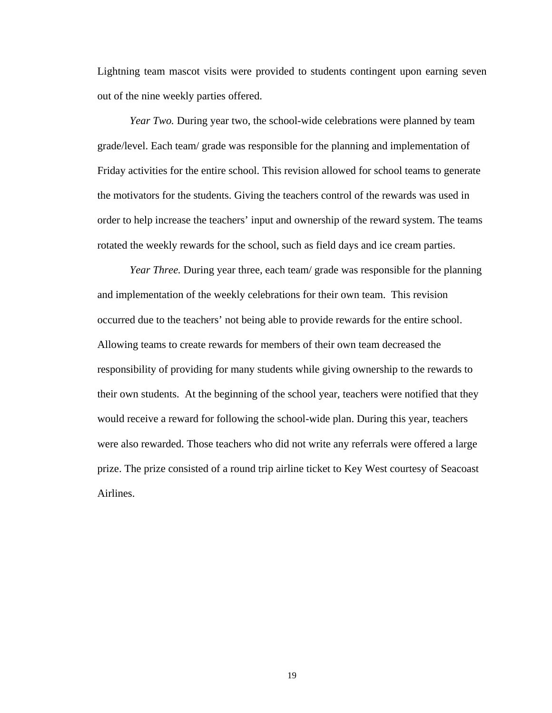Lightning team mascot visits were provided to students contingent upon earning seven out of the nine weekly parties offered.

*Year Two.* During year two, the school-wide celebrations were planned by team grade/level. Each team/ grade was responsible for the planning and implementation of Friday activities for the entire school. This revision allowed for school teams to generate the motivators for the students. Giving the teachers control of the rewards was used in order to help increase the teachers' input and ownership of the reward system. The teams rotated the weekly rewards for the school, such as field days and ice cream parties.

*Year Three.* During year three, each team/ grade was responsible for the planning and implementation of the weekly celebrations for their own team. This revision occurred due to the teachers' not being able to provide rewards for the entire school. Allowing teams to create rewards for members of their own team decreased the responsibility of providing for many students while giving ownership to the rewards to their own students. At the beginning of the school year, teachers were notified that they would receive a reward for following the school-wide plan. During this year, teachers were also rewarded. Those teachers who did not write any referrals were offered a large prize. The prize consisted of a round trip airline ticket to Key West courtesy of Seacoast Airlines.

19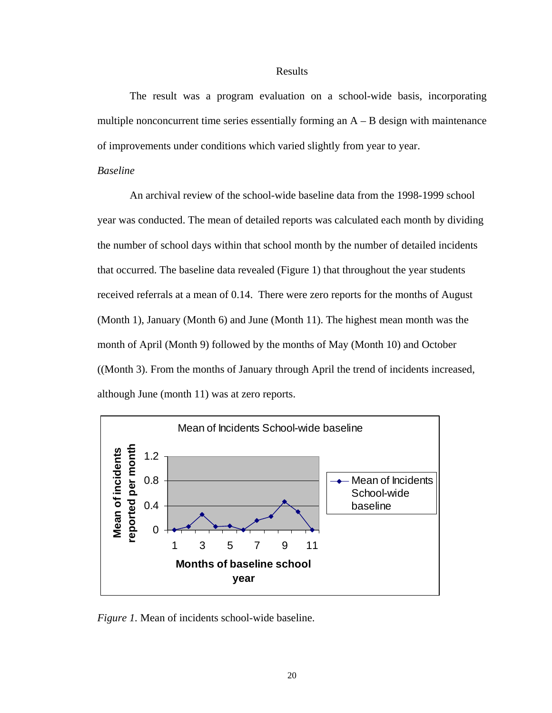#### Results

The result was a program evaluation on a school-wide basis, incorporating multiple nonconcurrent time series essentially forming an  $A - B$  design with maintenance of improvements under conditions which varied slightly from year to year.

#### *Baseline*

An archival review of the school-wide baseline data from the 1998-1999 school year was conducted. The mean of detailed reports was calculated each month by dividing the number of school days within that school month by the number of detailed incidents that occurred. The baseline data revealed (Figure 1) that throughout the year students received referrals at a mean of 0.14. There were zero reports for the months of August (Month 1), January (Month 6) and June (Month 11). The highest mean month was the month of April (Month 9) followed by the months of May (Month 10) and October ((Month 3). From the months of January through April the trend of incidents increased, although June (month 11) was at zero reports.



*Figure 1.* Mean of incidents school-wide baseline.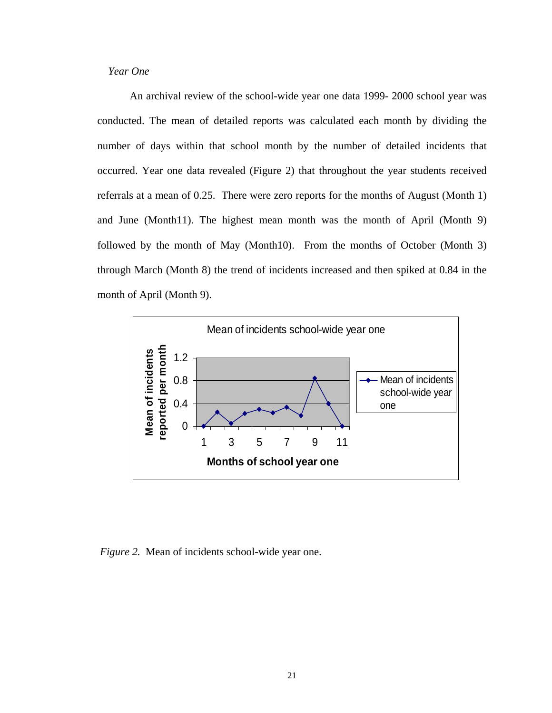*Year One*

An archival review of the school-wide year one data 1999- 2000 school year was conducted. The mean of detailed reports was calculated each month by dividing the number of days within that school month by the number of detailed incidents that occurred. Year one data revealed (Figure 2) that throughout the year students received referrals at a mean of 0.25. There were zero reports for the months of August (Month 1) and June (Month11). The highest mean month was the month of April (Month 9) followed by the month of May (Month10). From the months of October (Month 3) through March (Month 8) the trend of incidents increased and then spiked at 0.84 in the month of April (Month 9).



*Figure 2.* Mean of incidents school-wide year one.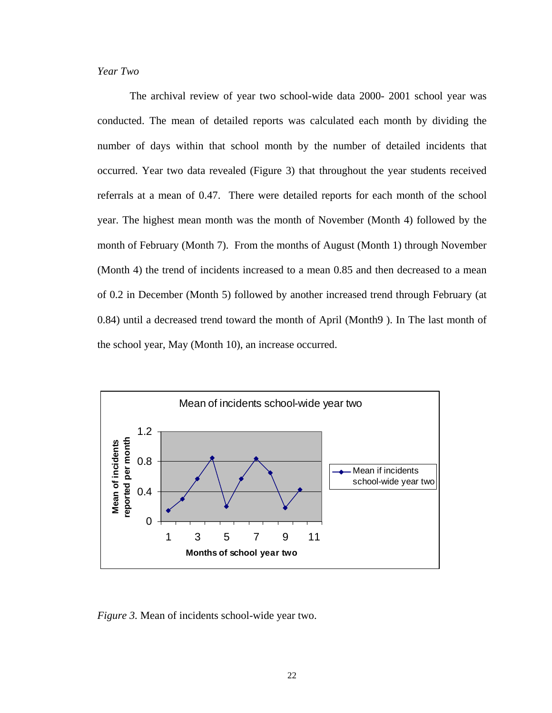### *Year Two*

The archival review of year two school-wide data 2000- 2001 school year was conducted. The mean of detailed reports was calculated each month by dividing the number of days within that school month by the number of detailed incidents that occurred. Year two data revealed (Figure 3) that throughout the year students received referrals at a mean of 0.47. There were detailed reports for each month of the school year. The highest mean month was the month of November (Month 4) followed by the month of February (Month 7). From the months of August (Month 1) through November (Month 4) the trend of incidents increased to a mean 0.85 and then decreased to a mean of 0.2 in December (Month 5) followed by another increased trend through February (at 0.84) until a decreased trend toward the month of April (Month9 ). In The last month of the school year, May (Month 10), an increase occurred.



*Figure 3.* Mean of incidents school-wide year two.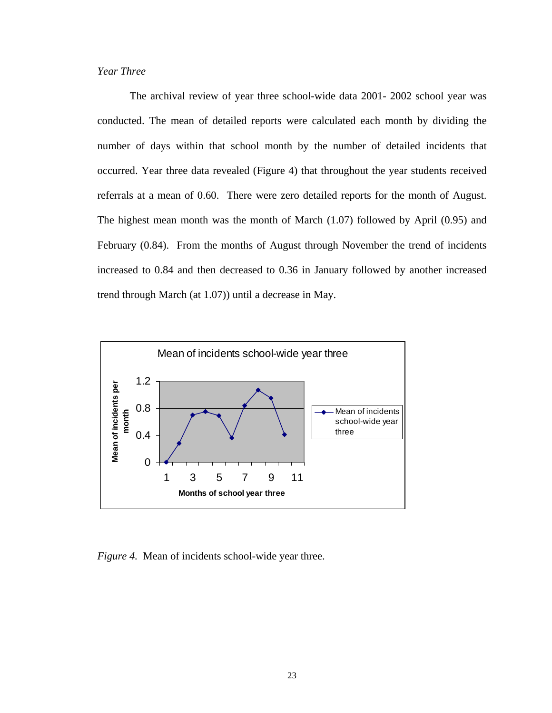## *Year Three*

The archival review of year three school-wide data 2001- 2002 school year was conducted. The mean of detailed reports were calculated each month by dividing the number of days within that school month by the number of detailed incidents that occurred. Year three data revealed (Figure 4) that throughout the year students received referrals at a mean of 0.60. There were zero detailed reports for the month of August. The highest mean month was the month of March (1.07) followed by April (0.95) and February (0.84). From the months of August through November the trend of incidents increased to 0.84 and then decreased to 0.36 in January followed by another increased trend through March (at 1.07)) until a decrease in May.



*Figure 4.* Mean of incidents school-wide year three.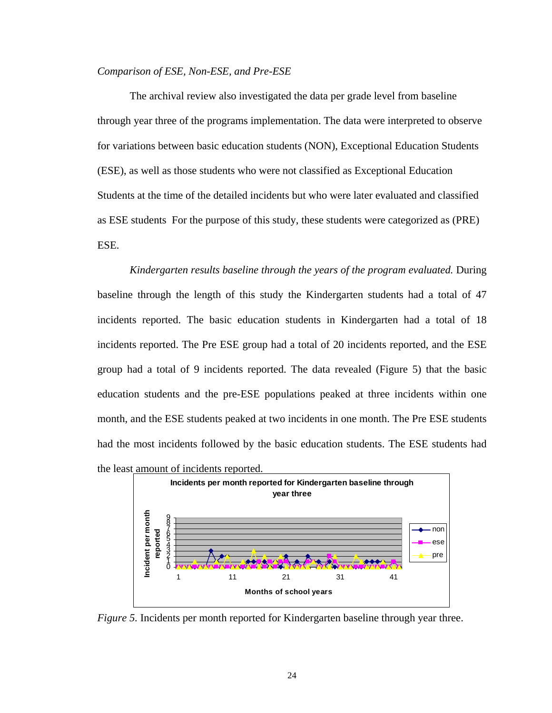#### *Comparison of ESE, Non-ESE, and Pre-ESE*

The archival review also investigated the data per grade level from baseline through year three of the programs implementation. The data were interpreted to observe for variations between basic education students (NON), Exceptional Education Students (ESE), as well as those students who were not classified as Exceptional Education Students at the time of the detailed incidents but who were later evaluated and classified as ESE students For the purpose of this study, these students were categorized as (PRE) ESE.

*Kindergarten results baseline through the years of the program evaluated.* During baseline through the length of this study the Kindergarten students had a total of 47 incidents reported. The basic education students in Kindergarten had a total of 18 incidents reported. The Pre ESE group had a total of 20 incidents reported, and the ESE group had a total of 9 incidents reported. The data revealed (Figure 5) that the basic education students and the pre-ESE populations peaked at three incidents within one month, and the ESE students peaked at two incidents in one month. The Pre ESE students had the most incidents followed by the basic education students. The ESE students had the least amount of incidents reported.



*Figure 5.* Incidents per month reported for Kindergarten baseline through year three.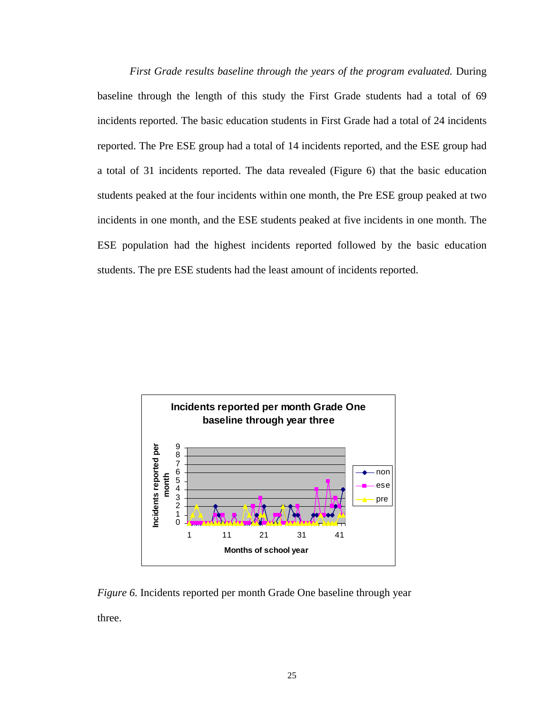*First Grade results baseline through the years of the program evaluated.* During baseline through the length of this study the First Grade students had a total of 69 incidents reported. The basic education students in First Grade had a total of 24 incidents reported. The Pre ESE group had a total of 14 incidents reported, and the ESE group had a total of 31 incidents reported. The data revealed (Figure 6) that the basic education students peaked at the four incidents within one month, the Pre ESE group peaked at two incidents in one month, and the ESE students peaked at five incidents in one month. The ESE population had the highest incidents reported followed by the basic education students. The pre ESE students had the least amount of incidents reported.

![](_page_33_Figure_1.jpeg)

*Figure 6.* Incidents reported per month Grade One baseline through year three.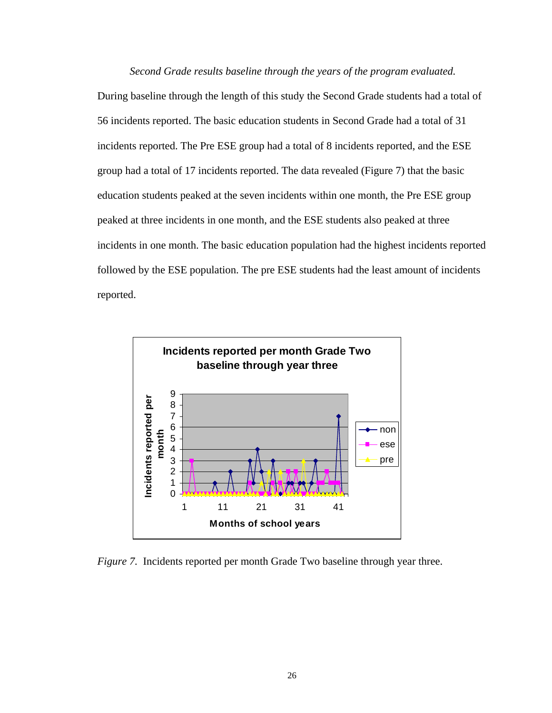*Second Grade results baseline through the years of the program evaluated.*  During baseline through the length of this study the Second Grade students had a total of 56 incidents reported. The basic education students in Second Grade had a total of 31 incidents reported. The Pre ESE group had a total of 8 incidents reported, and the ESE group had a total of 17 incidents reported. The data revealed (Figure 7) that the basic education students peaked at the seven incidents within one month, the Pre ESE group peaked at three incidents in one month, and the ESE students also peaked at three incidents in one month. The basic education population had the highest incidents reported followed by the ESE population. The pre ESE students had the least amount of incidents reported.

![](_page_34_Figure_1.jpeg)

*Figure 7.* Incidents reported per month Grade Two baseline through year three.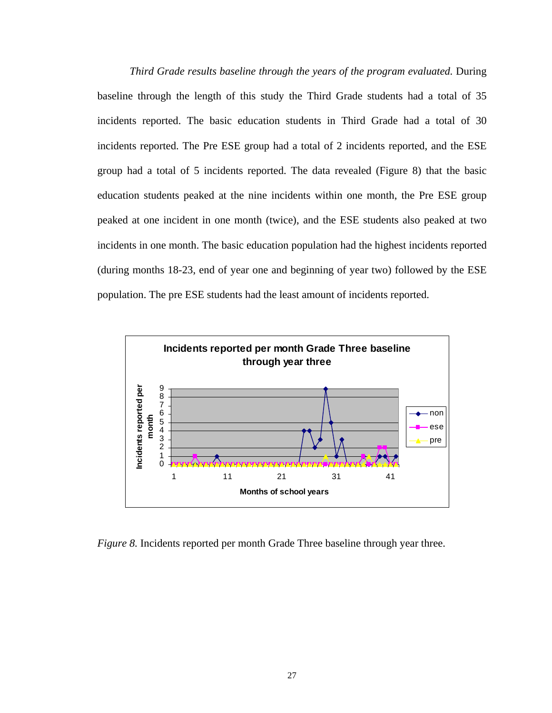*Third Grade results baseline through the years of the program evaluated.* During baseline through the length of this study the Third Grade students had a total of 35 incidents reported. The basic education students in Third Grade had a total of 30 incidents reported. The Pre ESE group had a total of 2 incidents reported, and the ESE group had a total of 5 incidents reported. The data revealed (Figure 8) that the basic education students peaked at the nine incidents within one month, the Pre ESE group peaked at one incident in one month (twice), and the ESE students also peaked at two incidents in one month. The basic education population had the highest incidents reported (during months 18-23, end of year one and beginning of year two) followed by the ESE population. The pre ESE students had the least amount of incidents reported.

![](_page_35_Figure_1.jpeg)

*Figure 8.* Incidents reported per month Grade Three baseline through year three.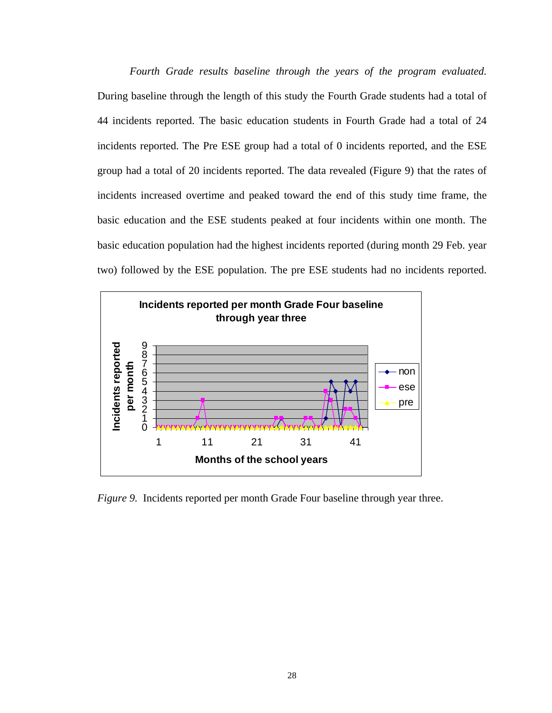*Fourth Grade results baseline through the years of the program evaluated.*  During baseline through the length of this study the Fourth Grade students had a total of 44 incidents reported. The basic education students in Fourth Grade had a total of 24 incidents reported. The Pre ESE group had a total of 0 incidents reported, and the ESE group had a total of 20 incidents reported. The data revealed (Figure 9) that the rates of incidents increased overtime and peaked toward the end of this study time frame, the basic education and the ESE students peaked at four incidents within one month. The basic education population had the highest incidents reported (during month 29 Feb. year two) followed by the ESE population. The pre ESE students had no incidents reported.

![](_page_36_Figure_1.jpeg)

*Figure 9.* Incidents reported per month Grade Four baseline through year three.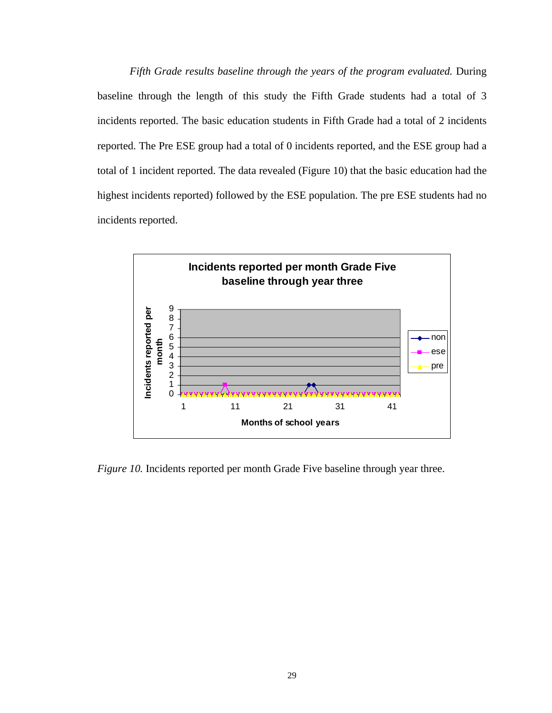*Fifth Grade results baseline through the years of the program evaluated.* During baseline through the length of this study the Fifth Grade students had a total of 3 incidents reported. The basic education students in Fifth Grade had a total of 2 incidents reported. The Pre ESE group had a total of 0 incidents reported, and the ESE group had a total of 1 incident reported. The data revealed (Figure 10) that the basic education had the highest incidents reported) followed by the ESE population. The pre ESE students had no incidents reported.

![](_page_37_Figure_1.jpeg)

*Figure 10.* Incidents reported per month Grade Five baseline through year three.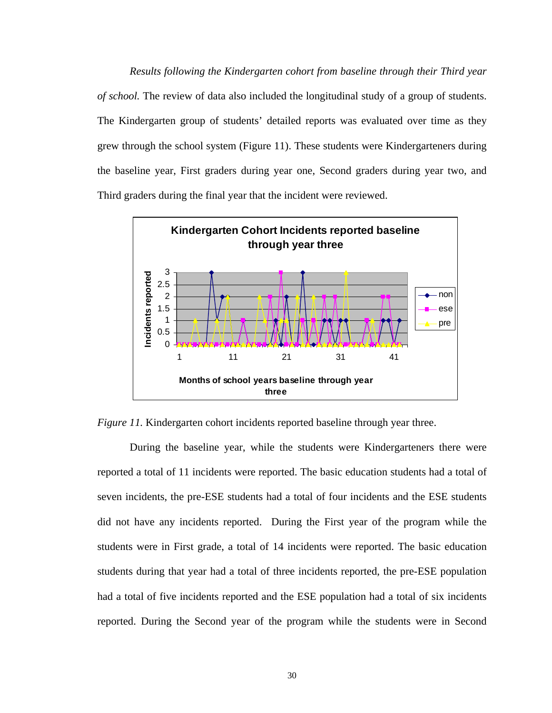*Results following the Kindergarten cohort from baseline through their Third year of school.* The review of data also included the longitudinal study of a group of students. The Kindergarten group of students' detailed reports was evaluated over time as they grew through the school system (Figure 11). These students were Kindergarteners during the baseline year, First graders during year one, Second graders during year two, and Third graders during the final year that the incident were reviewed.

![](_page_38_Figure_1.jpeg)

*Figure 11.* Kindergarten cohort incidents reported baseline through year three.

During the baseline year, while the students were Kindergarteners there were reported a total of 11 incidents were reported. The basic education students had a total of seven incidents, the pre-ESE students had a total of four incidents and the ESE students did not have any incidents reported. During the First year of the program while the students were in First grade, a total of 14 incidents were reported. The basic education students during that year had a total of three incidents reported, the pre-ESE population had a total of five incidents reported and the ESE population had a total of six incidents reported. During the Second year of the program while the students were in Second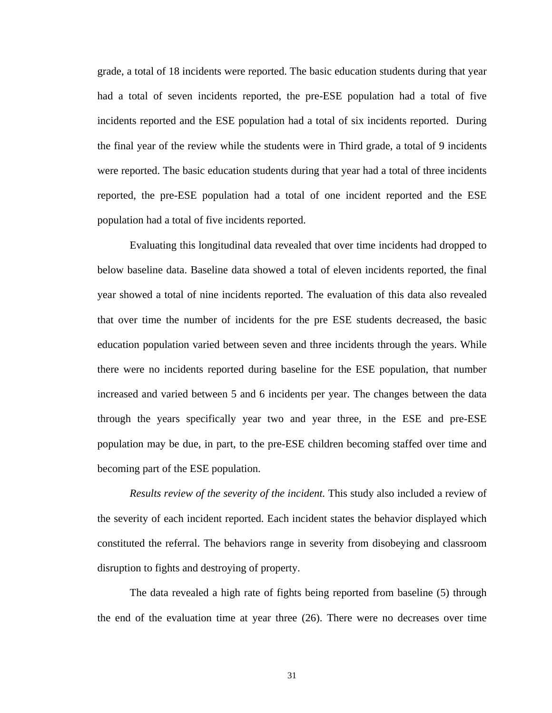grade, a total of 18 incidents were reported. The basic education students during that year had a total of seven incidents reported, the pre-ESE population had a total of five incidents reported and the ESE population had a total of six incidents reported. During the final year of the review while the students were in Third grade, a total of 9 incidents were reported. The basic education students during that year had a total of three incidents reported, the pre-ESE population had a total of one incident reported and the ESE population had a total of five incidents reported.

Evaluating this longitudinal data revealed that over time incidents had dropped to below baseline data. Baseline data showed a total of eleven incidents reported, the final year showed a total of nine incidents reported. The evaluation of this data also revealed that over time the number of incidents for the pre ESE students decreased, the basic education population varied between seven and three incidents through the years. While there were no incidents reported during baseline for the ESE population, that number increased and varied between 5 and 6 incidents per year. The changes between the data through the years specifically year two and year three, in the ESE and pre-ESE population may be due, in part, to the pre-ESE children becoming staffed over time and becoming part of the ESE population.

*Results review of the severity of the incident.* This study also included a review of the severity of each incident reported. Each incident states the behavior displayed which constituted the referral. The behaviors range in severity from disobeying and classroom disruption to fights and destroying of property.

The data revealed a high rate of fights being reported from baseline (5) through the end of the evaluation time at year three (26). There were no decreases over time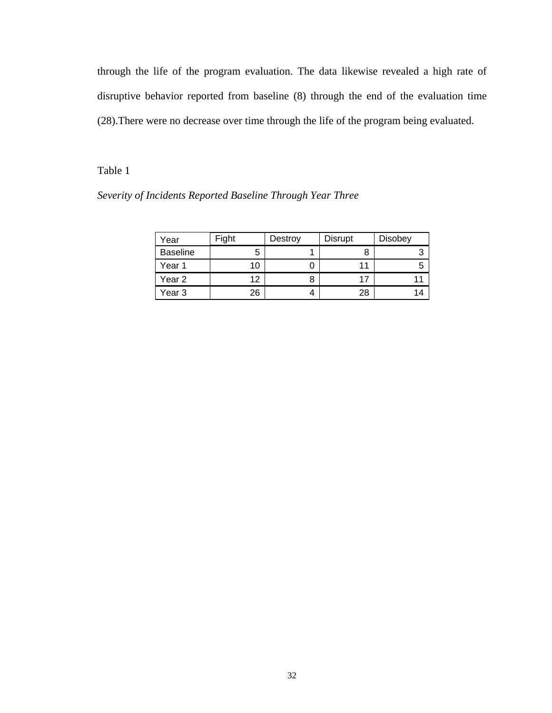through the life of the program evaluation. The data likewise revealed a high rate of disruptive behavior reported from baseline (8) through the end of the evaluation time (28).There were no decrease over time through the life of the program being evaluated.

## Table 1

| Severity of Incidents Reported Baseline Through Year Three |  |  |  |
|------------------------------------------------------------|--|--|--|
|                                                            |  |  |  |

| Year            | Fight | Destroy | <b>Disrupt</b> | <b>Disobey</b> |
|-----------------|-------|---------|----------------|----------------|
| <b>Baseline</b> | 5     |         | 8              |                |
| Year 1          | 10    |         |                |                |
| Year 2          | 12    |         | 17             |                |
| Year 3          | 26    |         | 28             | 14             |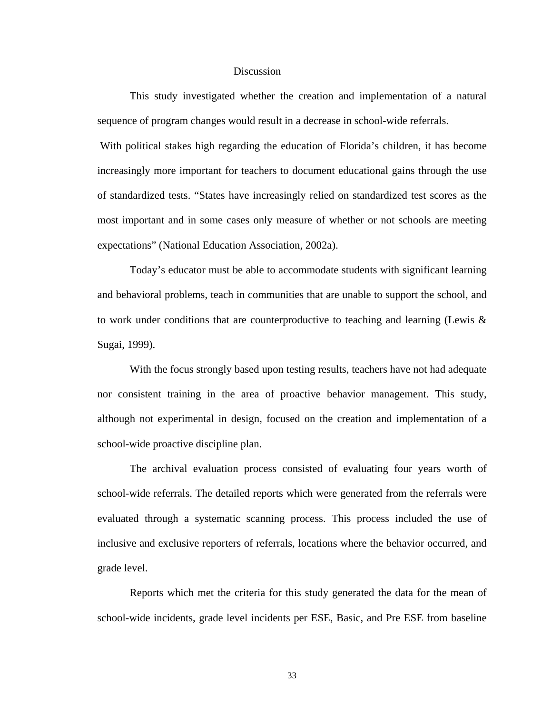#### Discussion

 This study investigated whether the creation and implementation of a natural sequence of program changes would result in a decrease in school-wide referrals.

With political stakes high regarding the education of Florida's children, it has become increasingly more important for teachers to document educational gains through the use of standardized tests. "States have increasingly relied on standardized test scores as the most important and in some cases only measure of whether or not schools are meeting expectations" (National Education Association, 2002a).

Today's educator must be able to accommodate students with significant learning and behavioral problems, teach in communities that are unable to support the school, and to work under conditions that are counterproductive to teaching and learning (Lewis & Sugai, 1999).

With the focus strongly based upon testing results, teachers have not had adequate nor consistent training in the area of proactive behavior management. This study, although not experimental in design, focused on the creation and implementation of a school-wide proactive discipline plan.

The archival evaluation process consisted of evaluating four years worth of school-wide referrals. The detailed reports which were generated from the referrals were evaluated through a systematic scanning process. This process included the use of inclusive and exclusive reporters of referrals, locations where the behavior occurred, and grade level.

Reports which met the criteria for this study generated the data for the mean of school-wide incidents, grade level incidents per ESE, Basic, and Pre ESE from baseline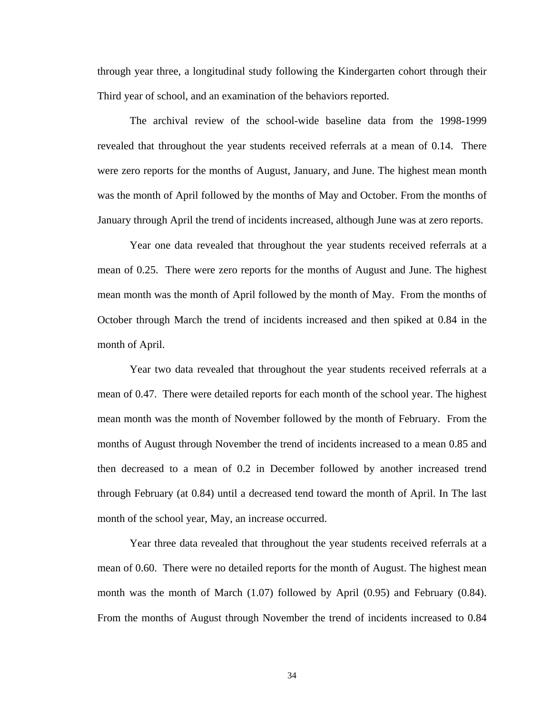through year three, a longitudinal study following the Kindergarten cohort through their Third year of school, and an examination of the behaviors reported.

The archival review of the school-wide baseline data from the 1998-1999 revealed that throughout the year students received referrals at a mean of 0.14. There were zero reports for the months of August, January, and June. The highest mean month was the month of April followed by the months of May and October. From the months of January through April the trend of incidents increased, although June was at zero reports.

Year one data revealed that throughout the year students received referrals at a mean of 0.25. There were zero reports for the months of August and June. The highest mean month was the month of April followed by the month of May. From the months of October through March the trend of incidents increased and then spiked at 0.84 in the month of April.

Year two data revealed that throughout the year students received referrals at a mean of 0.47. There were detailed reports for each month of the school year. The highest mean month was the month of November followed by the month of February. From the months of August through November the trend of incidents increased to a mean 0.85 and then decreased to a mean of 0.2 in December followed by another increased trend through February (at 0.84) until a decreased tend toward the month of April. In The last month of the school year, May, an increase occurred.

Year three data revealed that throughout the year students received referrals at a mean of 0.60. There were no detailed reports for the month of August. The highest mean month was the month of March (1.07) followed by April (0.95) and February (0.84). From the months of August through November the trend of incidents increased to 0.84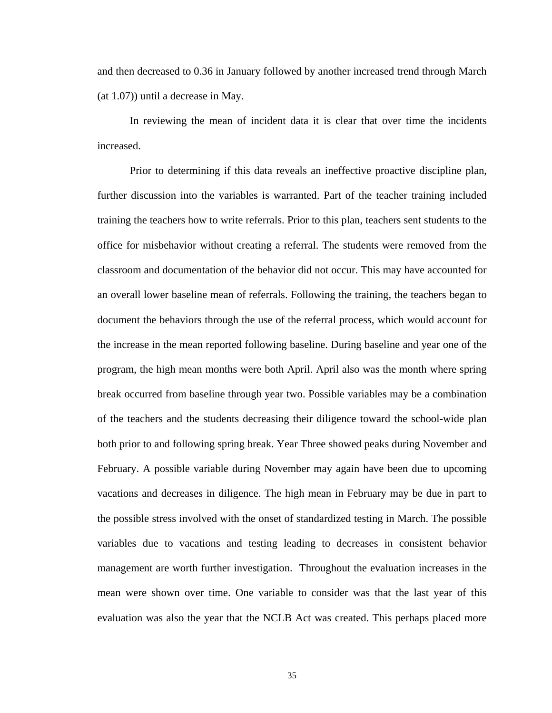and then decreased to 0.36 in January followed by another increased trend through March (at 1.07)) until a decrease in May.

In reviewing the mean of incident data it is clear that over time the incidents increased.

Prior to determining if this data reveals an ineffective proactive discipline plan, further discussion into the variables is warranted. Part of the teacher training included training the teachers how to write referrals. Prior to this plan, teachers sent students to the office for misbehavior without creating a referral. The students were removed from the classroom and documentation of the behavior did not occur. This may have accounted for an overall lower baseline mean of referrals. Following the training, the teachers began to document the behaviors through the use of the referral process, which would account for the increase in the mean reported following baseline. During baseline and year one of the program, the high mean months were both April. April also was the month where spring break occurred from baseline through year two. Possible variables may be a combination of the teachers and the students decreasing their diligence toward the school-wide plan both prior to and following spring break. Year Three showed peaks during November and February. A possible variable during November may again have been due to upcoming vacations and decreases in diligence. The high mean in February may be due in part to the possible stress involved with the onset of standardized testing in March. The possible variables due to vacations and testing leading to decreases in consistent behavior management are worth further investigation. Throughout the evaluation increases in the mean were shown over time. One variable to consider was that the last year of this evaluation was also the year that the NCLB Act was created. This perhaps placed more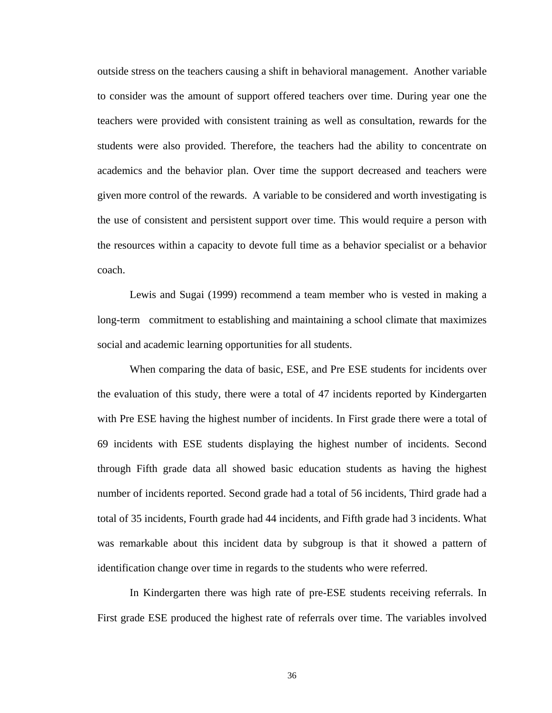outside stress on the teachers causing a shift in behavioral management. Another variable to consider was the amount of support offered teachers over time. During year one the teachers were provided with consistent training as well as consultation, rewards for the students were also provided. Therefore, the teachers had the ability to concentrate on academics and the behavior plan. Over time the support decreased and teachers were given more control of the rewards. A variable to be considered and worth investigating is the use of consistent and persistent support over time. This would require a person with the resources within a capacity to devote full time as a behavior specialist or a behavior coach.

Lewis and Sugai (1999) recommend a team member who is vested in making a long-term commitment to establishing and maintaining a school climate that maximizes social and academic learning opportunities for all students.

When comparing the data of basic, ESE, and Pre ESE students for incidents over the evaluation of this study, there were a total of 47 incidents reported by Kindergarten with Pre ESE having the highest number of incidents. In First grade there were a total of 69 incidents with ESE students displaying the highest number of incidents. Second through Fifth grade data all showed basic education students as having the highest number of incidents reported. Second grade had a total of 56 incidents, Third grade had a total of 35 incidents, Fourth grade had 44 incidents, and Fifth grade had 3 incidents. What was remarkable about this incident data by subgroup is that it showed a pattern of identification change over time in regards to the students who were referred.

In Kindergarten there was high rate of pre-ESE students receiving referrals. In First grade ESE produced the highest rate of referrals over time. The variables involved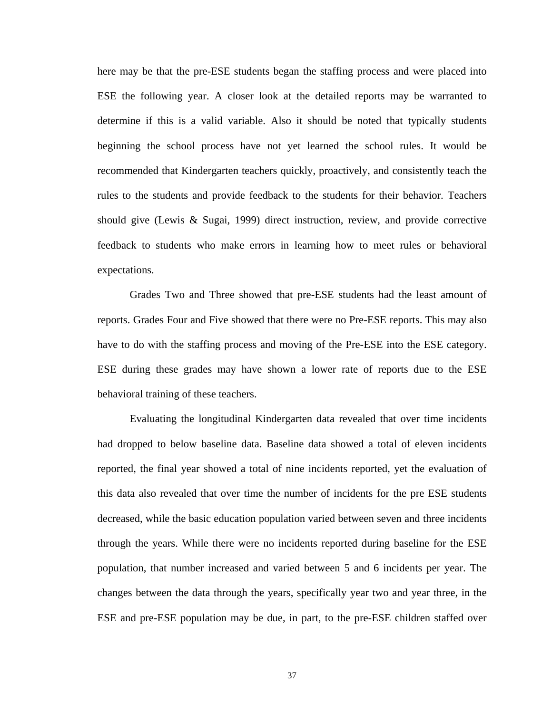here may be that the pre-ESE students began the staffing process and were placed into ESE the following year. A closer look at the detailed reports may be warranted to determine if this is a valid variable. Also it should be noted that typically students beginning the school process have not yet learned the school rules. It would be recommended that Kindergarten teachers quickly, proactively, and consistently teach the rules to the students and provide feedback to the students for their behavior. Teachers should give (Lewis & Sugai, 1999) direct instruction, review, and provide corrective feedback to students who make errors in learning how to meet rules or behavioral expectations.

Grades Two and Three showed that pre-ESE students had the least amount of reports. Grades Four and Five showed that there were no Pre-ESE reports. This may also have to do with the staffing process and moving of the Pre-ESE into the ESE category. ESE during these grades may have shown a lower rate of reports due to the ESE behavioral training of these teachers.

Evaluating the longitudinal Kindergarten data revealed that over time incidents had dropped to below baseline data. Baseline data showed a total of eleven incidents reported, the final year showed a total of nine incidents reported, yet the evaluation of this data also revealed that over time the number of incidents for the pre ESE students decreased, while the basic education population varied between seven and three incidents through the years. While there were no incidents reported during baseline for the ESE population, that number increased and varied between 5 and 6 incidents per year. The changes between the data through the years, specifically year two and year three, in the ESE and pre-ESE population may be due, in part, to the pre-ESE children staffed over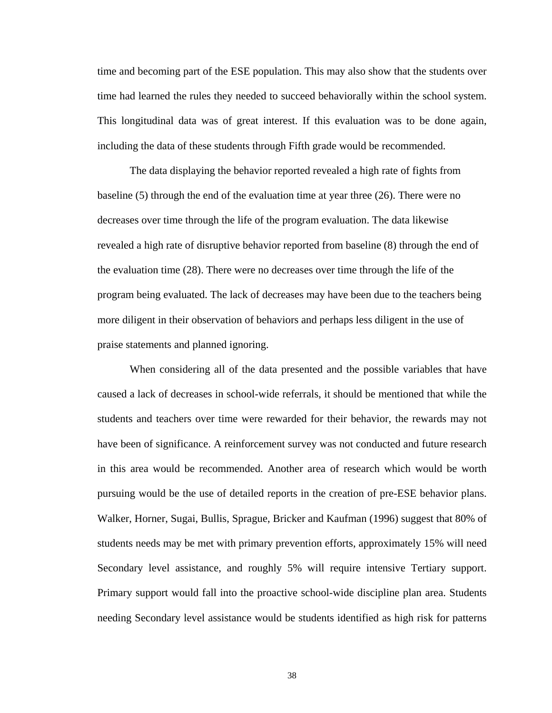time and becoming part of the ESE population. This may also show that the students over time had learned the rules they needed to succeed behaviorally within the school system. This longitudinal data was of great interest. If this evaluation was to be done again, including the data of these students through Fifth grade would be recommended.

The data displaying the behavior reported revealed a high rate of fights from baseline (5) through the end of the evaluation time at year three (26). There were no decreases over time through the life of the program evaluation. The data likewise revealed a high rate of disruptive behavior reported from baseline (8) through the end of the evaluation time (28). There were no decreases over time through the life of the program being evaluated. The lack of decreases may have been due to the teachers being more diligent in their observation of behaviors and perhaps less diligent in the use of praise statements and planned ignoring.

When considering all of the data presented and the possible variables that have caused a lack of decreases in school-wide referrals, it should be mentioned that while the students and teachers over time were rewarded for their behavior, the rewards may not have been of significance. A reinforcement survey was not conducted and future research in this area would be recommended. Another area of research which would be worth pursuing would be the use of detailed reports in the creation of pre-ESE behavior plans. Walker, Horner, Sugai, Bullis, Sprague, Bricker and Kaufman (1996) suggest that 80% of students needs may be met with primary prevention efforts, approximately 15% will need Secondary level assistance, and roughly 5% will require intensive Tertiary support. Primary support would fall into the proactive school-wide discipline plan area. Students needing Secondary level assistance would be students identified as high risk for patterns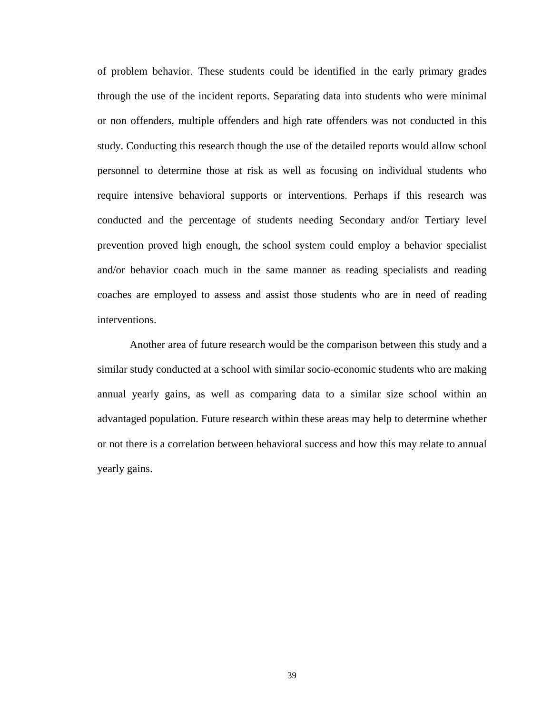of problem behavior. These students could be identified in the early primary grades through the use of the incident reports. Separating data into students who were minimal or non offenders, multiple offenders and high rate offenders was not conducted in this study. Conducting this research though the use of the detailed reports would allow school personnel to determine those at risk as well as focusing on individual students who require intensive behavioral supports or interventions. Perhaps if this research was conducted and the percentage of students needing Secondary and/or Tertiary level prevention proved high enough, the school system could employ a behavior specialist and/or behavior coach much in the same manner as reading specialists and reading coaches are employed to assess and assist those students who are in need of reading interventions.

Another area of future research would be the comparison between this study and a similar study conducted at a school with similar socio-economic students who are making annual yearly gains, as well as comparing data to a similar size school within an advantaged population. Future research within these areas may help to determine whether or not there is a correlation between behavioral success and how this may relate to annual yearly gains.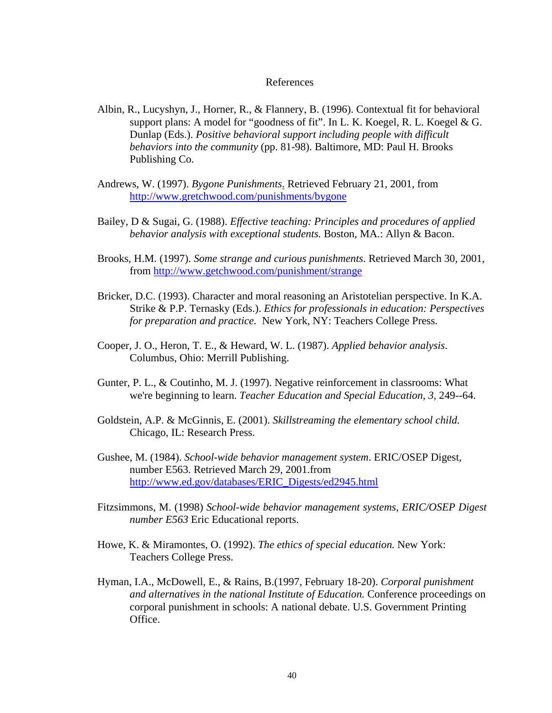#### References

- Albin, R., Lucyshyn, J., Horner, R., & Flannery, B. (1996). Contextual fit for behavioral support plans: A model for "goodness of fit". In L. K. Koegel, R. L. Koegel & G. Dunlap (Eds.). *Positive behavioral support including people with difficult behaviors into the community* (pp. 81-98). Baltimore, MD: Paul H. Brooks Publishing Co.
- Andrews, W. (1997). *Bygone Punishments*. Retrieved February 21, 2001, from <http://www.gretchwood.com/punishments/bygone>
- Bailey, D & Sugai, G. (1988). *Effective teaching: Principles and procedures of applied behavior analysis with exceptional students.* Boston, MA.: Allyn & Bacon.
- Brooks, H.M. (1997). *Some strange and curious punishments*. Retrieved March 30, 2001, from <http://www.getchwood.com/punishment/strange>
- Bricker, D.C. (1993). Character and moral reasoning an Aristotelian perspective. In K.A. Strike & P.P. Ternasky (Eds.). *Ethics for professionals in education: Perspectives for preparation and practice.* New York, NY: Teachers College Press.
- Cooper, J. O., Heron, T. E., & Heward, W. L. (1987). *Applied behavior analysis*. Columbus, Ohio: Merrill Publishing.
- Gunter, P. L., & Coutinho, M. J. (1997). Negative reinforcement in classrooms: What we're beginning to learn. *Teacher Education and Special Education, 3*, 249--64.
- Goldstein, A.P. & McGinnis, E. (2001). *Skillstreaming the elementary school child.* Chicago, IL: Research Press.
- Gushee, M. (1984). *School-wide behavior management system*. ERIC/OSEP Digest, number E563. Retrieved March 29, 2001.from [http://www.ed.gov/databases/ERIC\\_Digests/ed2945.html](http://www.ed.gov/databases/ERIC_Digests/ed2945.html)
- Fitzsimmons, M. (1998) *School-wide behavior management systems, ERIC/OSEP Digest number E563* Eric Educational reports.
- Howe, K. & Miramontes, O. (1992). *The ethics of special education.* New York: Teachers College Press.
- Hyman, I.A., McDowell, E., & Rains, B.(1997, February 18-20). *Corporal punishment and alternatives in the national Institute of Education.* Conference proceedings on corporal punishment in schools: A national debate. U.S. Government Printing Office.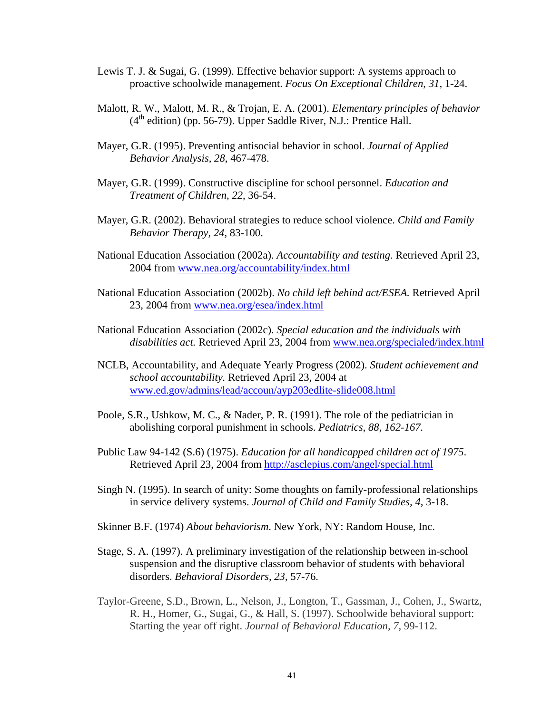- Lewis T. J. & Sugai, G. (1999). Effective behavior support: A systems approach to proactive schoolwide management. *Focus On Exceptional Children*, *31*, 1-24.
- Malott, R. W., Malott, M. R., & Trojan, E. A. (2001). *Elementary principles of behavior*   $(4<sup>th</sup> edition)$  (pp. 56-79). Upper Saddle River, N.J.: Prentice Hall.
- Mayer, G.R. (1995). Preventing antisocial behavior in school. *Journal of Applied Behavior Analysis, 28*, 467-478.
- Mayer, G.R. (1999). Constructive discipline for school personnel. *Education and Treatment of Children, 22*, 36-54.
- Mayer, G.R. (2002). Behavioral strategies to reduce school violence. *Child and Family Behavior Therapy, 24*, 83-100.
- National Education Association (2002a). *Accountability and testing.* Retrieved April 23, 2004 from [www.nea.org/accountability/index.html](http://www.nea.org/accountability/index.html)
- National Education Association (2002b). *No child left behind act/ESEA.* Retrieved April 23, 2004 from [www.nea.org/esea/index.html](http://www.nea.org/esea/index.html)
- National Education Association (2002c). *Special education and the individuals with disabilities act.* Retrieved April 23, 2004 from [www.nea.org/specialed/index.html](http://www.nea.org/specialed/index.html)
- NCLB, Accountability, and Adequate Yearly Progress (2002). *Student achievement and school accountability.* Retrieved April 23, 2004 at [www.ed.gov/admins/lead/accoun/ayp203edlite-slide008.html](http://www.ed.gov/admins/lead/accoun/ayp203edlite-slide008.html)
- Poole, S.R., Ushkow, M. C., & Nader, P. R. (1991). The role of the pediatrician in abolishing corporal punishment in schools. *Pediatrics, 88, 162-167.*
- Public Law 94-142 (S.6) (1975). *Education for all handicapped children act of 1975*. Retrieved April 23, 2004 from <http://asclepius.com/angel/special.html>
- Singh N. (1995). In search of unity: Some thoughts on family-professional relationships in service delivery systems. *Journal of Child and Family Studies, 4*, 3-18.
- Skinner B.F. (1974) *About behaviorism*. New York, NY: Random House, Inc.
- Stage, S. A. (1997). A preliminary investigation of the relationship between in-school suspension and the disruptive classroom behavior of students with behavioral disorders. *Behavioral Disorders, 23*, 57-76.
- Taylor-Greene, S.D., Brown, L., Nelson, J., Longton, T., Gassman, J., Cohen, J., Swartz, R. H., Homer, G., Sugai, G., & Hall, S. (1997). Schoolwide behavioral support: Starting the year off right. *Journal of Behavioral Education, 7*, 99-112.